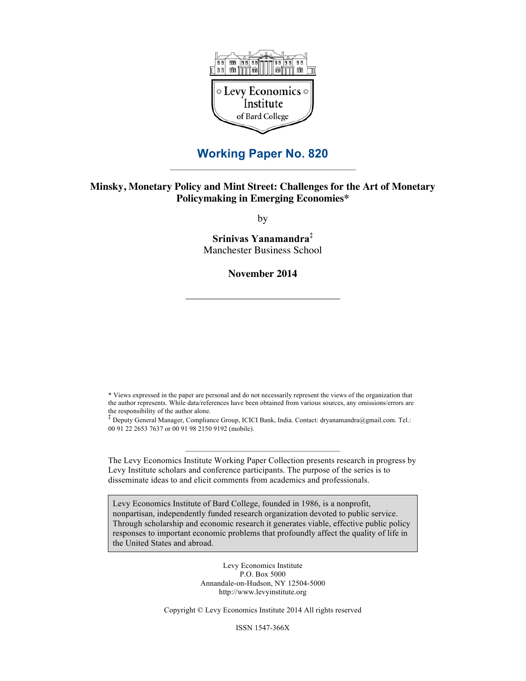

# **Working Paper No. 820**

## **Minsky, Monetary Policy and Mint Street: Challenges for the Art of Monetary Policymaking in Emerging Economies\***

by

**Srinivas Yanamandra‡** Manchester Business School

**November 2014**

\* Views expressed in the paper are personal and do not necessarily represent the views of the organization that the author represents. While data/references have been obtained from various sources, any omissions/errors are the responsibility of the author alone.

 $\ddagger$  Deputy General Manager, Compliance Group, ICICI Bank, India. Contact: dryanamandra@gmail.com. Tel.: 00 91 22 2653 7637 or 00 91 98 2150 9192 (mobile).

The Levy Economics Institute Working Paper Collection presents research in progress by Levy Institute scholars and conference participants. The purpose of the series is to disseminate ideas to and elicit comments from academics and professionals.

Levy Economics Institute of Bard College, founded in 1986, is a nonprofit, nonpartisan, independently funded research organization devoted to public service. Through scholarship and economic research it generates viable, effective public policy responses to important economic problems that profoundly affect the quality of life in the United States and abroad.

> Levy Economics Institute P.O. Box 5000 Annandale-on-Hudson, NY 12504-5000 http://www.levyinstitute.org

Copyright © Levy Economics Institute 2014 All rights reserved

ISSN 1547-366X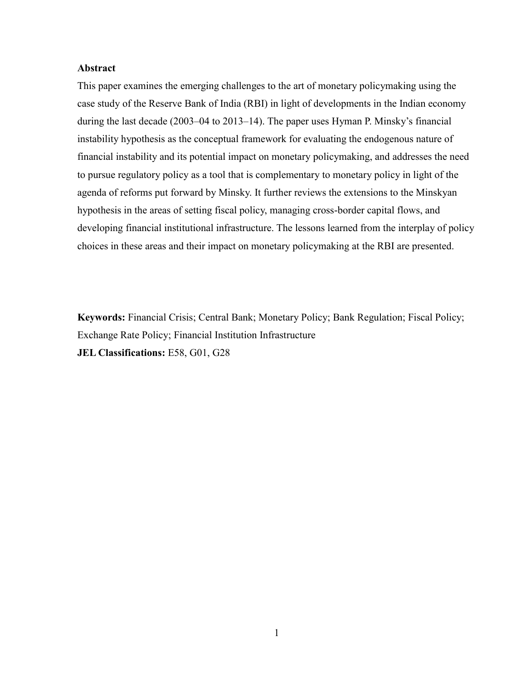## **Abstract**

This paper examines the emerging challenges to the art of monetary policymaking using the case study of the Reserve Bank of India (RBI) in light of developments in the Indian economy during the last decade (2003–04 to 2013–14). The paper uses Hyman P. Minsky's financial instability hypothesis as the conceptual framework for evaluating the endogenous nature of financial instability and its potential impact on monetary policymaking, and addresses the need to pursue regulatory policy as a tool that is complementary to monetary policy in light of the agenda of reforms put forward by Minsky. It further reviews the extensions to the Minskyan hypothesis in the areas of setting fiscal policy, managing cross-border capital flows, and developing financial institutional infrastructure. The lessons learned from the interplay of policy choices in these areas and their impact on monetary policymaking at the RBI are presented.

**Keywords:** Financial Crisis; Central Bank; Monetary Policy; Bank Regulation; Fiscal Policy; Exchange Rate Policy; Financial Institution Infrastructure **JEL Classifications:** E58, G01, G28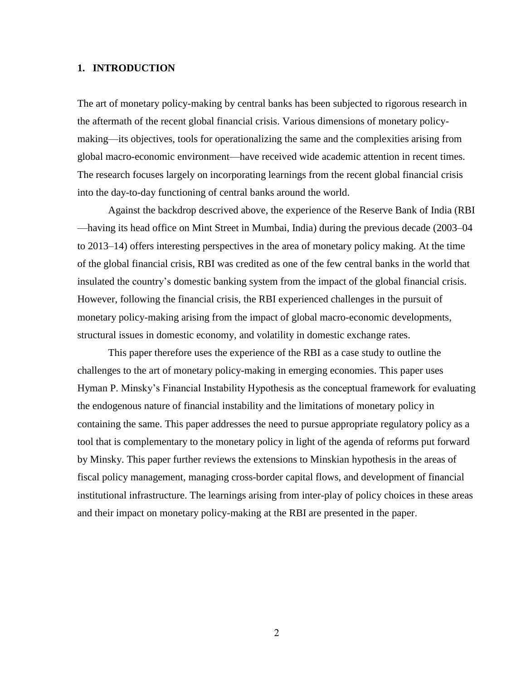## **1. INTRODUCTION**

The art of monetary policy-making by central banks has been subjected to rigorous research in the aftermath of the recent global financial crisis. Various dimensions of monetary policymaking—its objectives, tools for operationalizing the same and the complexities arising from global macro-economic environment—have received wide academic attention in recent times. The research focuses largely on incorporating learnings from the recent global financial crisis into the day-to-day functioning of central banks around the world.

Against the backdrop descrived above, the experience of the Reserve Bank of India (RBI —having its head office on Mint Street in Mumbai, India) during the previous decade (2003–04 to 2013–14) offers interesting perspectives in the area of monetary policy making. At the time of the global financial crisis, RBI was credited as one of the few central banks in the world that insulated the country's domestic banking system from the impact of the global financial crisis. However, following the financial crisis, the RBI experienced challenges in the pursuit of monetary policy-making arising from the impact of global macro-economic developments, structural issues in domestic economy, and volatility in domestic exchange rates.

This paper therefore uses the experience of the RBI as a case study to outline the challenges to the art of monetary policy-making in emerging economies. This paper uses Hyman P. Minsky's Financial Instability Hypothesis as the conceptual framework for evaluating the endogenous nature of financial instability and the limitations of monetary policy in containing the same. This paper addresses the need to pursue appropriate regulatory policy as a tool that is complementary to the monetary policy in light of the agenda of reforms put forward by Minsky. This paper further reviews the extensions to Minskian hypothesis in the areas of fiscal policy management, managing cross-border capital flows, and development of financial institutional infrastructure. The learnings arising from inter-play of policy choices in these areas and their impact on monetary policy-making at the RBI are presented in the paper.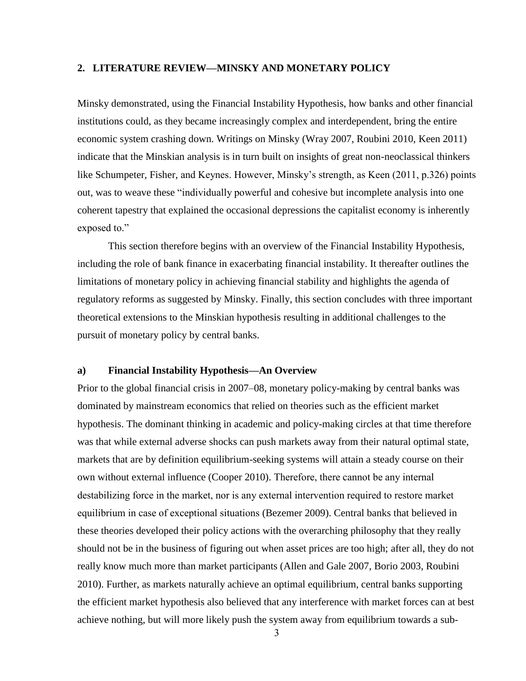## **2. LITERATURE REVIEW—MINSKY AND MONETARY POLICY**

Minsky demonstrated, using the Financial Instability Hypothesis, how banks and other financial institutions could, as they became increasingly complex and interdependent, bring the entire economic system crashing down. Writings on Minsky (Wray 2007, Roubini 2010, Keen 2011) indicate that the Minskian analysis is in turn built on insights of great non-neoclassical thinkers like Schumpeter, Fisher, and Keynes. However, Minsky's strength, as Keen (2011, p.326) points out, was to weave these "individually powerful and cohesive but incomplete analysis into one coherent tapestry that explained the occasional depressions the capitalist economy is inherently exposed to."

This section therefore begins with an overview of the Financial Instability Hypothesis, including the role of bank finance in exacerbating financial instability. It thereafter outlines the limitations of monetary policy in achieving financial stability and highlights the agenda of regulatory reforms as suggested by Minsky. Finally, this section concludes with three important theoretical extensions to the Minskian hypothesis resulting in additional challenges to the pursuit of monetary policy by central banks.

#### **a) Financial Instability Hypothesis—An Overview**

Prior to the global financial crisis in 2007–08, monetary policy-making by central banks was dominated by mainstream economics that relied on theories such as the efficient market hypothesis. The dominant thinking in academic and policy-making circles at that time therefore was that while external adverse shocks can push markets away from their natural optimal state, markets that are by definition equilibrium-seeking systems will attain a steady course on their own without external influence (Cooper 2010). Therefore, there cannot be any internal destabilizing force in the market, nor is any external intervention required to restore market equilibrium in case of exceptional situations (Bezemer 2009). Central banks that believed in these theories developed their policy actions with the overarching philosophy that they really should not be in the business of figuring out when asset prices are too high; after all, they do not really know much more than market participants (Allen and Gale 2007, Borio 2003, Roubini 2010). Further, as markets naturally achieve an optimal equilibrium, central banks supporting the efficient market hypothesis also believed that any interference with market forces can at best achieve nothing, but will more likely push the system away from equilibrium towards a sub-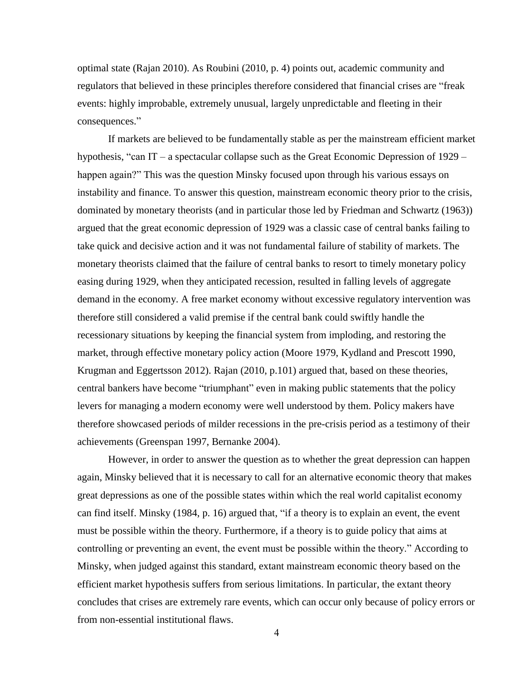optimal state (Rajan 2010). As Roubini (2010, p. 4) points out, academic community and regulators that believed in these principles therefore considered that financial crises are "freak events: highly improbable, extremely unusual, largely unpredictable and fleeting in their consequences."

If markets are believed to be fundamentally stable as per the mainstream efficient market hypothesis, "can IT – a spectacular collapse such as the Great Economic Depression of 1929 – happen again?" This was the question Minsky focused upon through his various essays on instability and finance. To answer this question, mainstream economic theory prior to the crisis, dominated by monetary theorists (and in particular those led by Friedman and Schwartz (1963)) argued that the great economic depression of 1929 was a classic case of central banks failing to take quick and decisive action and it was not fundamental failure of stability of markets. The monetary theorists claimed that the failure of central banks to resort to timely monetary policy easing during 1929, when they anticipated recession, resulted in falling levels of aggregate demand in the economy. A free market economy without excessive regulatory intervention was therefore still considered a valid premise if the central bank could swiftly handle the recessionary situations by keeping the financial system from imploding, and restoring the market, through effective monetary policy action (Moore 1979, Kydland and Prescott 1990, Krugman and Eggertsson 2012). Rajan (2010, p.101) argued that, based on these theories, central bankers have become "triumphant" even in making public statements that the policy levers for managing a modern economy were well understood by them. Policy makers have therefore showcased periods of milder recessions in the pre-crisis period as a testimony of their achievements (Greenspan 1997, Bernanke 2004).

However, in order to answer the question as to whether the great depression can happen again, Minsky believed that it is necessary to call for an alternative economic theory that makes great depressions as one of the possible states within which the real world capitalist economy can find itself. Minsky (1984, p. 16) argued that, "if a theory is to explain an event, the event must be possible within the theory. Furthermore, if a theory is to guide policy that aims at controlling or preventing an event, the event must be possible within the theory." According to Minsky, when judged against this standard, extant mainstream economic theory based on the efficient market hypothesis suffers from serious limitations. In particular, the extant theory concludes that crises are extremely rare events, which can occur only because of policy errors or from non-essential institutional flaws.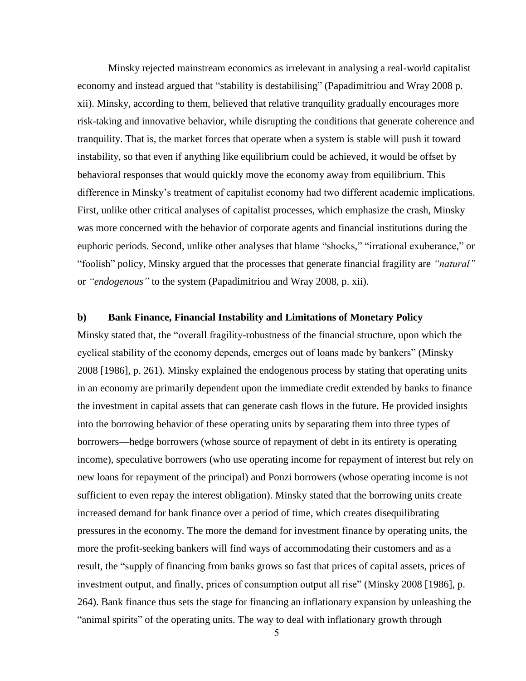Minsky rejected mainstream economics as irrelevant in analysing a real-world capitalist economy and instead argued that "stability is destabilising" (Papadimitriou and Wray 2008 p. xii). Minsky, according to them, believed that relative tranquility gradually encourages more risk-taking and innovative behavior, while disrupting the conditions that generate coherence and tranquility. That is, the market forces that operate when a system is stable will push it toward instability, so that even if anything like equilibrium could be achieved, it would be offset by behavioral responses that would quickly move the economy away from equilibrium. This difference in Minsky's treatment of capitalist economy had two different academic implications. First, unlike other critical analyses of capitalist processes, which emphasize the crash, Minsky was more concerned with the behavior of corporate agents and financial institutions during the euphoric periods. Second, unlike other analyses that blame "shocks," "irrational exuberance," or "foolish" policy, Minsky argued that the processes that generate financial fragility are *"natural"* or *"endogenous"* to the system (Papadimitriou and Wray 2008, p. xii).

## **b) Bank Finance, Financial Instability and Limitations of Monetary Policy**

Minsky stated that, the "overall fragility-robustness of the financial structure, upon which the cyclical stability of the economy depends, emerges out of loans made by bankers" (Minsky 2008 [1986], p. 261). Minsky explained the endogenous process by stating that operating units in an economy are primarily dependent upon the immediate credit extended by banks to finance the investment in capital assets that can generate cash flows in the future. He provided insights into the borrowing behavior of these operating units by separating them into three types of borrowers—hedge borrowers (whose source of repayment of debt in its entirety is operating income), speculative borrowers (who use operating income for repayment of interest but rely on new loans for repayment of the principal) and Ponzi borrowers (whose operating income is not sufficient to even repay the interest obligation). Minsky stated that the borrowing units create increased demand for bank finance over a period of time, which creates disequilibrating pressures in the economy. The more the demand for investment finance by operating units, the more the profit-seeking bankers will find ways of accommodating their customers and as a result, the "supply of financing from banks grows so fast that prices of capital assets, prices of investment output, and finally, prices of consumption output all rise" (Minsky 2008 [1986], p. 264). Bank finance thus sets the stage for financing an inflationary expansion by unleashing the "animal spirits" of the operating units. The way to deal with inflationary growth through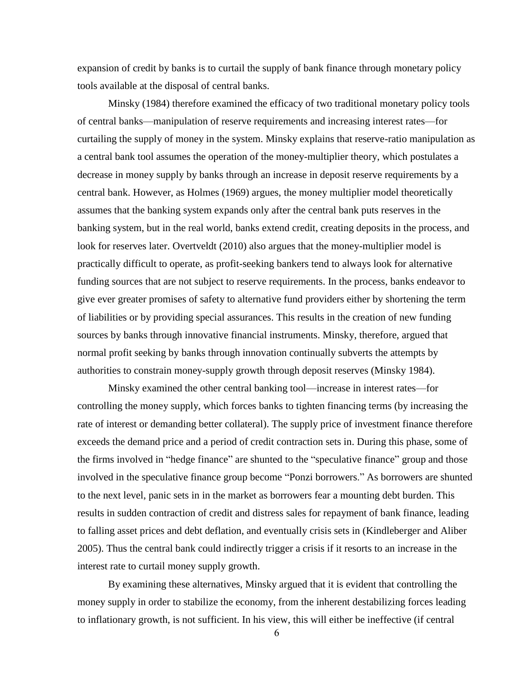expansion of credit by banks is to curtail the supply of bank finance through monetary policy tools available at the disposal of central banks.

Minsky (1984) therefore examined the efficacy of two traditional monetary policy tools of central banks—manipulation of reserve requirements and increasing interest rates—for curtailing the supply of money in the system. Minsky explains that reserve-ratio manipulation as a central bank tool assumes the operation of the money-multiplier theory, which postulates a decrease in money supply by banks through an increase in deposit reserve requirements by a central bank. However, as Holmes (1969) argues, the money multiplier model theoretically assumes that the banking system expands only after the central bank puts reserves in the banking system, but in the real world, banks extend credit, creating deposits in the process, and look for reserves later. Overtveldt (2010) also argues that the money-multiplier model is practically difficult to operate, as profit-seeking bankers tend to always look for alternative funding sources that are not subject to reserve requirements. In the process, banks endeavor to give ever greater promises of safety to alternative fund providers either by shortening the term of liabilities or by providing special assurances. This results in the creation of new funding sources by banks through innovative financial instruments. Minsky, therefore, argued that normal profit seeking by banks through innovation continually subverts the attempts by authorities to constrain money-supply growth through deposit reserves (Minsky 1984).

Minsky examined the other central banking tool—increase in interest rates—for controlling the money supply, which forces banks to tighten financing terms (by increasing the rate of interest or demanding better collateral). The supply price of investment finance therefore exceeds the demand price and a period of credit contraction sets in. During this phase, some of the firms involved in "hedge finance" are shunted to the "speculative finance" group and those involved in the speculative finance group become "Ponzi borrowers." As borrowers are shunted to the next level, panic sets in in the market as borrowers fear a mounting debt burden. This results in sudden contraction of credit and distress sales for repayment of bank finance, leading to falling asset prices and debt deflation, and eventually crisis sets in (Kindleberger and Aliber 2005). Thus the central bank could indirectly trigger a crisis if it resorts to an increase in the interest rate to curtail money supply growth.

By examining these alternatives, Minsky argued that it is evident that controlling the money supply in order to stabilize the economy, from the inherent destabilizing forces leading to inflationary growth, is not sufficient. In his view, this will either be ineffective (if central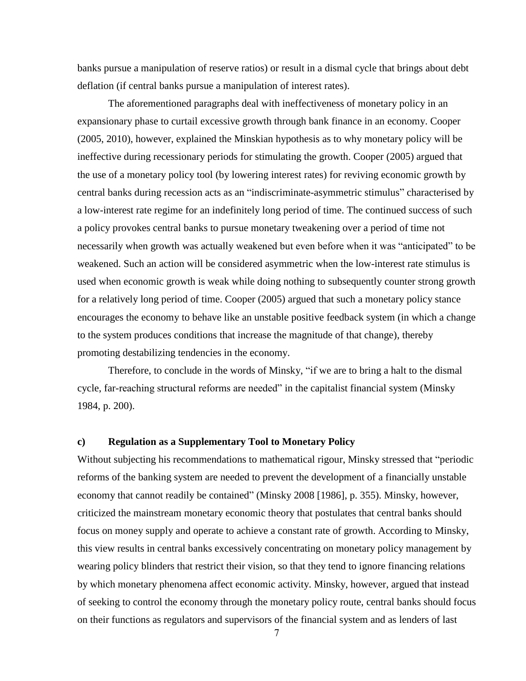banks pursue a manipulation of reserve ratios) or result in a dismal cycle that brings about debt deflation (if central banks pursue a manipulation of interest rates).

The aforementioned paragraphs deal with ineffectiveness of monetary policy in an expansionary phase to curtail excessive growth through bank finance in an economy. Cooper (2005, 2010), however, explained the Minskian hypothesis as to why monetary policy will be ineffective during recessionary periods for stimulating the growth. Cooper (2005) argued that the use of a monetary policy tool (by lowering interest rates) for reviving economic growth by central banks during recession acts as an "indiscriminate-asymmetric stimulus" characterised by a low-interest rate regime for an indefinitely long period of time. The continued success of such a policy provokes central banks to pursue monetary tweakening over a period of time not necessarily when growth was actually weakened but even before when it was "anticipated" to be weakened. Such an action will be considered asymmetric when the low-interest rate stimulus is used when economic growth is weak while doing nothing to subsequently counter strong growth for a relatively long period of time. Cooper (2005) argued that such a monetary policy stance encourages the economy to behave like an unstable positive feedback system (in which a change to the system produces conditions that increase the magnitude of that change), thereby promoting destabilizing tendencies in the economy.

Therefore, to conclude in the words of Minsky, "if we are to bring a halt to the dismal cycle, far-reaching structural reforms are needed" in the capitalist financial system (Minsky 1984, p. 200).

## **c) Regulation as a Supplementary Tool to Monetary Policy**

Without subjecting his recommendations to mathematical rigour, Minsky stressed that "periodic reforms of the banking system are needed to prevent the development of a financially unstable economy that cannot readily be contained" (Minsky 2008 [1986], p. 355). Minsky, however, criticized the mainstream monetary economic theory that postulates that central banks should focus on money supply and operate to achieve a constant rate of growth. According to Minsky, this view results in central banks excessively concentrating on monetary policy management by wearing policy blinders that restrict their vision, so that they tend to ignore financing relations by which monetary phenomena affect economic activity. Minsky, however, argued that instead of seeking to control the economy through the monetary policy route, central banks should focus on their functions as regulators and supervisors of the financial system and as lenders of last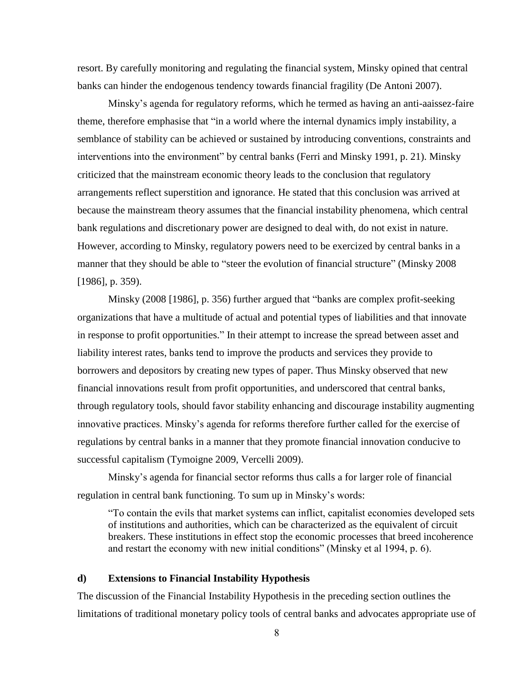resort. By carefully monitoring and regulating the financial system, Minsky opined that central banks can hinder the endogenous tendency towards financial fragility (De Antoni 2007).

Minsky's agenda for regulatory reforms, which he termed as having an anti-aaissez-faire theme, therefore emphasise that "in a world where the internal dynamics imply instability, a semblance of stability can be achieved or sustained by introducing conventions, constraints and interventions into the environment" by central banks (Ferri and Minsky 1991, p. 21). Minsky criticized that the mainstream economic theory leads to the conclusion that regulatory arrangements reflect superstition and ignorance. He stated that this conclusion was arrived at because the mainstream theory assumes that the financial instability phenomena, which central bank regulations and discretionary power are designed to deal with, do not exist in nature. However, according to Minsky, regulatory powers need to be exercized by central banks in a manner that they should be able to "steer the evolution of financial structure" (Minsky 2008 [1986], p. 359).

Minsky (2008 [1986], p. 356) further argued that "banks are complex profit-seeking organizations that have a multitude of actual and potential types of liabilities and that innovate in response to profit opportunities." In their attempt to increase the spread between asset and liability interest rates, banks tend to improve the products and services they provide to borrowers and depositors by creating new types of paper. Thus Minsky observed that new financial innovations result from profit opportunities, and underscored that central banks, through regulatory tools, should favor stability enhancing and discourage instability augmenting innovative practices. Minsky's agenda for reforms therefore further called for the exercise of regulations by central banks in a manner that they promote financial innovation conducive to successful capitalism (Tymoigne 2009, Vercelli 2009).

Minsky's agenda for financial sector reforms thus calls a for larger role of financial regulation in central bank functioning. To sum up in Minsky's words:

"To contain the evils that market systems can inflict, capitalist economies developed sets of institutions and authorities, which can be characterized as the equivalent of circuit breakers. These institutions in effect stop the economic processes that breed incoherence and restart the economy with new initial conditions" (Minsky et al 1994, p. 6).

## **d) Extensions to Financial Instability Hypothesis**

The discussion of the Financial Instability Hypothesis in the preceding section outlines the limitations of traditional monetary policy tools of central banks and advocates appropriate use of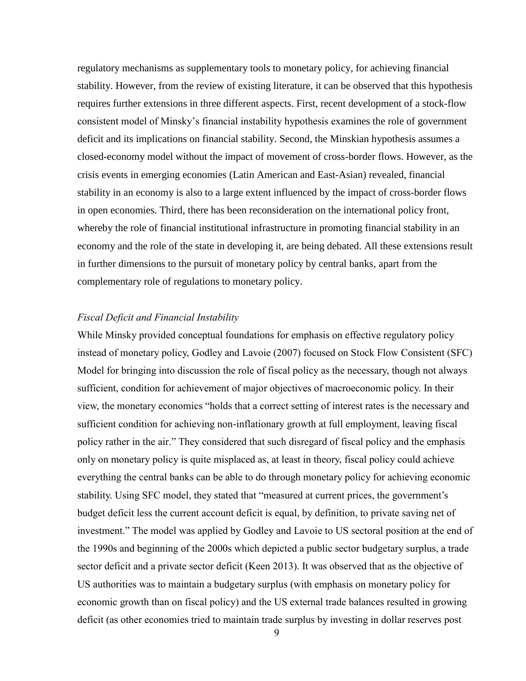regulatory mechanisms as supplementary tools to monetary policy, for achieving financial stability. However, from the review of existing literature, it can be observed that this hypothesis requires further extensions in three different aspects. First, recent development of a stock-flow consistent model of Minsky's financial instability hypothesis examines the role of government deficit and its implications on financial stability. Second, the Minskian hypothesis assumes a closed-economy model without the impact of movement of cross-border flows. However, as the crisis events in emerging economies (Latin American and East-Asian) revealed, financial stability in an economy is also to a large extent influenced by the impact of cross-border flows in open economies. Third, there has been reconsideration on the international policy front, whereby the role of financial institutional infrastructure in promoting financial stability in an economy and the role of the state in developing it, are being debated. All these extensions result in further dimensions to the pursuit of monetary policy by central banks, apart from the complementary role of regulations to monetary policy.

## *Fiscal Deficit and Financial Instability*

While Minsky provided conceptual foundations for emphasis on effective regulatory policy instead of monetary policy, Godley and Lavoie (2007) focused on Stock Flow Consistent (SFC) Model for bringing into discussion the role of fiscal policy as the necessary, though not always sufficient, condition for achievement of major objectives of macroeconomic policy. In their view, the monetary economics "holds that a correct setting of interest rates is the necessary and sufficient condition for achieving non-inflationary growth at full employment, leaving fiscal policy rather in the air." They considered that such disregard of fiscal policy and the emphasis only on monetary policy is quite misplaced as, at least in theory, fiscal policy could achieve everything the central banks can be able to do through monetary policy for achieving economic stability. Using SFC model, they stated that "measured at current prices, the government's budget deficit less the current account deficit is equal, by definition, to private saving net of investment." The model was applied by Godley and Lavoie to US sectoral position at the end of the 1990s and beginning of the 2000s which depicted a public sector budgetary surplus, a trade sector deficit and a private sector deficit (Keen 2013). It was observed that as the objective of US authorities was to maintain a budgetary surplus (with emphasis on monetary policy for economic growth than on fiscal policy) and the US external trade balances resulted in growing deficit (as other economies tried to maintain trade surplus by investing in dollar reserves post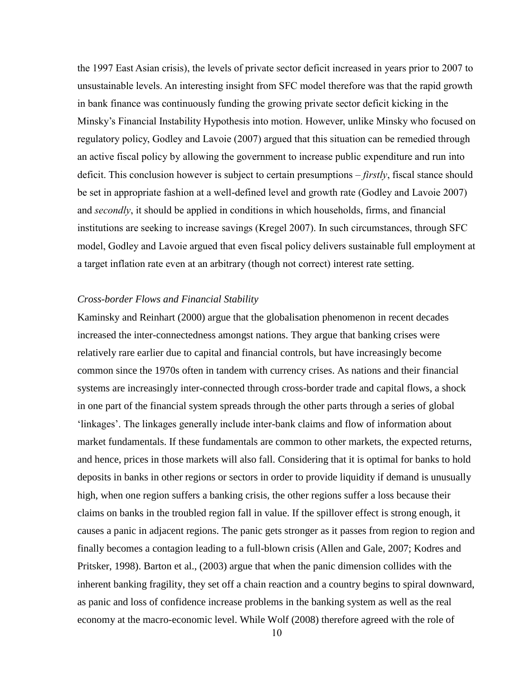the 1997 East Asian crisis), the levels of private sector deficit increased in years prior to 2007 to unsustainable levels. An interesting insight from SFC model therefore was that the rapid growth in bank finance was continuously funding the growing private sector deficit kicking in the Minsky's Financial Instability Hypothesis into motion. However, unlike Minsky who focused on regulatory policy, Godley and Lavoie (2007) argued that this situation can be remedied through an active fiscal policy by allowing the government to increase public expenditure and run into deficit. This conclusion however is subject to certain presumptions – *firstly*, fiscal stance should be set in appropriate fashion at a well-defined level and growth rate (Godley and Lavoie 2007) and *secondly*, it should be applied in conditions in which households, firms, and financial institutions are seeking to increase savings (Kregel 2007). In such circumstances, through SFC model, Godley and Lavoie argued that even fiscal policy delivers sustainable full employment at a target inflation rate even at an arbitrary (though not correct) interest rate setting.

## *Cross-border Flows and Financial Stability*

Kaminsky and Reinhart (2000) argue that the globalisation phenomenon in recent decades increased the inter-connectedness amongst nations. They argue that banking crises were relatively rare earlier due to capital and financial controls, but have increasingly become common since the 1970s often in tandem with currency crises. As nations and their financial systems are increasingly inter-connected through cross-border trade and capital flows, a shock in one part of the financial system spreads through the other parts through a series of global 'linkages'. The linkages generally include inter-bank claims and flow of information about market fundamentals. If these fundamentals are common to other markets, the expected returns, and hence, prices in those markets will also fall. Considering that it is optimal for banks to hold deposits in banks in other regions or sectors in order to provide liquidity if demand is unusually high, when one region suffers a banking crisis, the other regions suffer a loss because their claims on banks in the troubled region fall in value. If the spillover effect is strong enough, it causes a panic in adjacent regions. The panic gets stronger as it passes from region to region and finally becomes a contagion leading to a full-blown crisis (Allen and Gale, 2007; Kodres and Pritsker, 1998). Barton et al., (2003) argue that when the panic dimension collides with the inherent banking fragility, they set off a chain reaction and a country begins to spiral downward, as panic and loss of confidence increase problems in the banking system as well as the real economy at the macro-economic level. While Wolf (2008) therefore agreed with the role of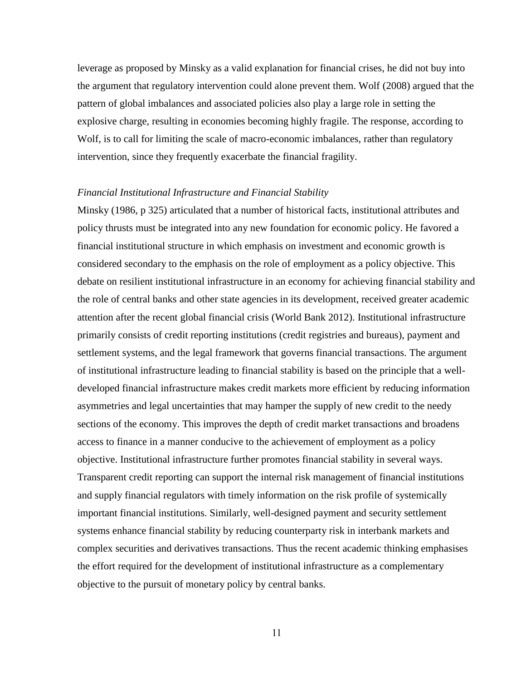leverage as proposed by Minsky as a valid explanation for financial crises, he did not buy into the argument that regulatory intervention could alone prevent them. Wolf (2008) argued that the pattern of global imbalances and associated policies also play a large role in setting the explosive charge, resulting in economies becoming highly fragile. The response, according to Wolf, is to call for limiting the scale of macro-economic imbalances, rather than regulatory intervention, since they frequently exacerbate the financial fragility.

#### *Financial Institutional Infrastructure and Financial Stability*

Minsky (1986, p 325) articulated that a number of historical facts, institutional attributes and policy thrusts must be integrated into any new foundation for economic policy. He favored a financial institutional structure in which emphasis on investment and economic growth is considered secondary to the emphasis on the role of employment as a policy objective. This debate on resilient institutional infrastructure in an economy for achieving financial stability and the role of central banks and other state agencies in its development, received greater academic attention after the recent global financial crisis (World Bank 2012). Institutional infrastructure primarily consists of credit reporting institutions (credit registries and bureaus), payment and settlement systems, and the legal framework that governs financial transactions. The argument of institutional infrastructure leading to financial stability is based on the principle that a welldeveloped financial infrastructure makes credit markets more efficient by reducing information asymmetries and legal uncertainties that may hamper the supply of new credit to the needy sections of the economy. This improves the depth of credit market transactions and broadens access to finance in a manner conducive to the achievement of employment as a policy objective. Institutional infrastructure further promotes financial stability in several ways. Transparent credit reporting can support the internal risk management of financial institutions and supply financial regulators with timely information on the risk profile of systemically important financial institutions. Similarly, well-designed payment and security settlement systems enhance financial stability by reducing counterparty risk in interbank markets and complex securities and derivatives transactions. Thus the recent academic thinking emphasises the effort required for the development of institutional infrastructure as a complementary objective to the pursuit of monetary policy by central banks.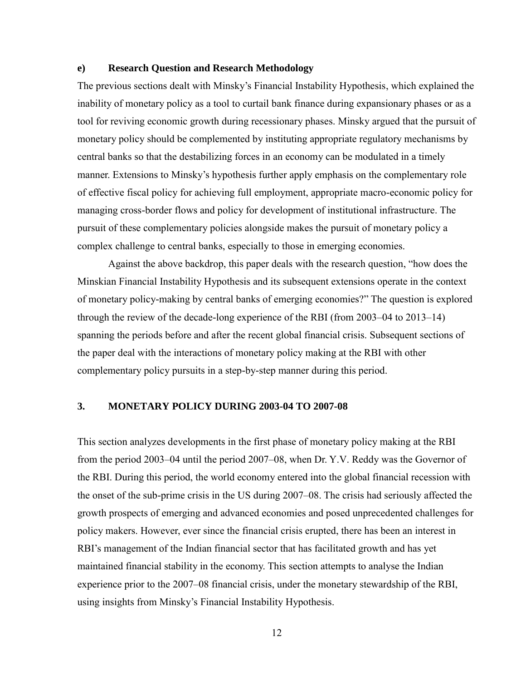### **e) Research Question and Research Methodology**

The previous sections dealt with Minsky's Financial Instability Hypothesis, which explained the inability of monetary policy as a tool to curtail bank finance during expansionary phases or as a tool for reviving economic growth during recessionary phases. Minsky argued that the pursuit of monetary policy should be complemented by instituting appropriate regulatory mechanisms by central banks so that the destabilizing forces in an economy can be modulated in a timely manner. Extensions to Minsky's hypothesis further apply emphasis on the complementary role of effective fiscal policy for achieving full employment, appropriate macro-economic policy for managing cross-border flows and policy for development of institutional infrastructure. The pursuit of these complementary policies alongside makes the pursuit of monetary policy a complex challenge to central banks, especially to those in emerging economies.

Against the above backdrop, this paper deals with the research question, "how does the Minskian Financial Instability Hypothesis and its subsequent extensions operate in the context of monetary policy-making by central banks of emerging economies?" The question is explored through the review of the decade-long experience of the RBI (from 2003–04 to 2013–14) spanning the periods before and after the recent global financial crisis. Subsequent sections of the paper deal with the interactions of monetary policy making at the RBI with other complementary policy pursuits in a step-by-step manner during this period.

## **3. MONETARY POLICY DURING 2003-04 TO 2007-08**

This section analyzes developments in the first phase of monetary policy making at the RBI from the period 2003–04 until the period 2007–08, when Dr. Y.V. Reddy was the Governor of the RBI. During this period, the world economy entered into the global financial recession with the onset of the sub-prime crisis in the US during 2007–08. The crisis had seriously affected the growth prospects of emerging and advanced economies and posed unprecedented challenges for policy makers. However, ever since the financial crisis erupted, there has been an interest in RBI's management of the Indian financial sector that has facilitated growth and has yet maintained financial stability in the economy. This section attempts to analyse the Indian experience prior to the 2007–08 financial crisis, under the monetary stewardship of the RBI, using insights from Minsky's Financial Instability Hypothesis.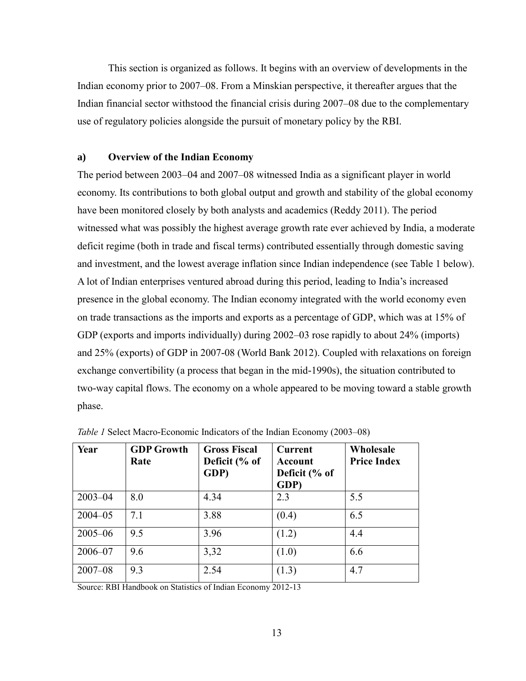This section is organized as follows. It begins with an overview of developments in the Indian economy prior to 2007–08. From a Minskian perspective, it thereafter argues that the Indian financial sector withstood the financial crisis during 2007–08 due to the complementary use of regulatory policies alongside the pursuit of monetary policy by the RBI.

## **a) Overview of the Indian Economy**

The period between 2003–04 and 2007–08 witnessed India as a significant player in world economy. Its contributions to both global output and growth and stability of the global economy have been monitored closely by both analysts and academics (Reddy 2011). The period witnessed what was possibly the highest average growth rate ever achieved by India, a moderate deficit regime (both in trade and fiscal terms) contributed essentially through domestic saving and investment, and the lowest average inflation since Indian independence (see Table 1 below). A lot of Indian enterprises ventured abroad during this period, leading to India's increased presence in the global economy. The Indian economy integrated with the world economy even on trade transactions as the imports and exports as a percentage of GDP, which was at 15% of GDP (exports and imports individually) during 2002–03 rose rapidly to about 24% (imports) and 25% (exports) of GDP in 2007-08 (World Bank 2012). Coupled with relaxations on foreign exchange convertibility (a process that began in the mid-1990s), the situation contributed to two-way capital flows. The economy on a whole appeared to be moving toward a stable growth phase.

| Year        | <b>GDP Growth</b><br>Rate | <b>Gross Fiscal</b><br>Deficit (% of<br>GDP) | <b>Current</b><br>Account<br>Deficit (% of<br>GDP) | Wholesale<br><b>Price Index</b> |
|-------------|---------------------------|----------------------------------------------|----------------------------------------------------|---------------------------------|
| $2003 - 04$ | 8.0                       | 4.34                                         | 2.3                                                | 5.5                             |
| $2004 - 05$ | 7.1                       | 3.88                                         | (0.4)                                              | 6.5                             |
| $2005 - 06$ | 9.5                       | 3.96                                         | (1.2)                                              | 4.4                             |
| 2006-07     | 9.6                       | 3,32                                         | (1.0)                                              | 6.6                             |
| $2007 - 08$ | 9.3                       | 2.54                                         | (1.3)                                              | 4.7                             |

*Table 1* Select Macro-Economic Indicators of the Indian Economy (2003–08)

Source: RBI Handbook on Statistics of Indian Economy 2012-13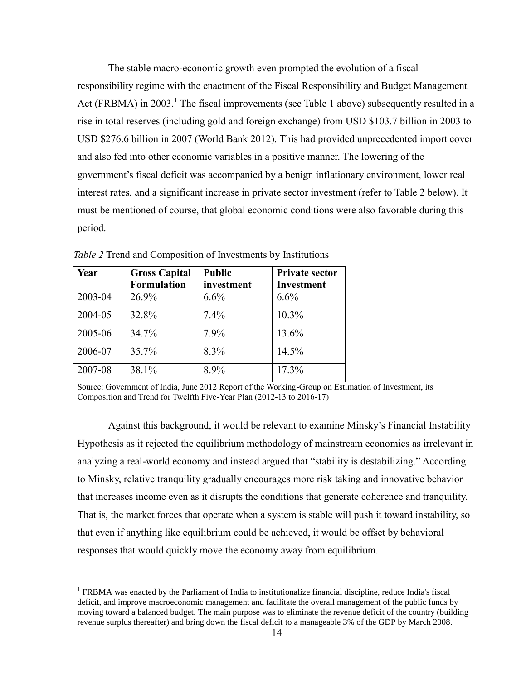The stable macro-economic growth even prompted the evolution of a fiscal responsibility regime with the enactment of the Fiscal Responsibility and Budget Management Act (FRBMA) in 2003.<sup>1</sup> The fiscal improvements (see Table 1 above) subsequently resulted in a rise in total reserves (including gold and foreign exchange) from USD \$103.7 billion in 2003 to USD \$276.6 billion in 2007 (World Bank 2012). This had provided unprecedented import cover and also fed into other economic variables in a positive manner. The lowering of the government's fiscal deficit was accompanied by a benign inflationary environment, lower real interest rates, and a significant increase in private sector investment (refer to Table 2 below). It must be mentioned of course, that global economic conditions were also favorable during this period.

| Year    | <b>Gross Capital</b> | <b>Public</b> | <b>Private sector</b> |
|---------|----------------------|---------------|-----------------------|
|         | <b>Formulation</b>   | investment    | Investment            |
| 2003-04 | 26.9%                | 6.6%          | 6.6%                  |
| 2004-05 | 32.8%                | 7.4%          | 10.3%                 |
| 2005-06 | 34.7%                | 7.9%          | 13.6%                 |
| 2006-07 | 35.7%                | 8.3%          | 14.5%                 |
| 2007-08 | 38.1%                | 8.9%          | 17.3%                 |

 $\overline{a}$ 

*Table 2* Trend and Composition of Investments by Institutions

Source: Government of India, June 2012 Report of the Working-Group on Estimation of Investment, its Composition and Trend for Twelfth Five-Year Plan (2012-13 to 2016-17)

Against this background, it would be relevant to examine Minsky's Financial Instability Hypothesis as it rejected the equilibrium methodology of mainstream economics as irrelevant in analyzing a real-world economy and instead argued that "stability is destabilizing." According to Minsky, relative tranquility gradually encourages more risk taking and innovative behavior that increases income even as it disrupts the conditions that generate coherence and tranquility. That is, the market forces that operate when a system is stable will push it toward instability, so that even if anything like equilibrium could be achieved, it would be offset by behavioral responses that would quickly move the economy away from equilibrium.

<sup>&</sup>lt;sup>1</sup> FRBMA was enacted by the Parliament of India to institutionalize financial discipline, reduce India's fiscal deficit, and improve macroeconomic management and facilitate the overall management of the public funds by moving toward a balanced budget. The main purpose was to eliminate the revenue deficit of the country (building revenue surplus thereafter) and bring down the fiscal deficit to a manageable 3% of the GDP by March 2008.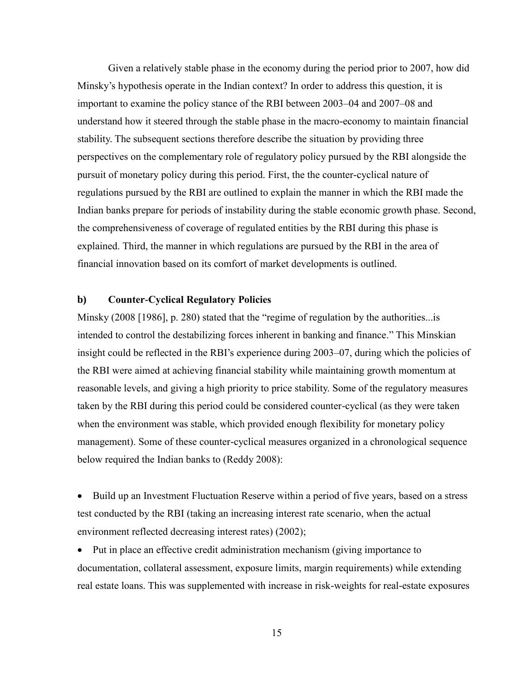Given a relatively stable phase in the economy during the period prior to 2007, how did Minsky's hypothesis operate in the Indian context? In order to address this question, it is important to examine the policy stance of the RBI between 2003–04 and 2007–08 and understand how it steered through the stable phase in the macro-economy to maintain financial stability. The subsequent sections therefore describe the situation by providing three perspectives on the complementary role of regulatory policy pursued by the RBI alongside the pursuit of monetary policy during this period. First, the the counter-cyclical nature of regulations pursued by the RBI are outlined to explain the manner in which the RBI made the Indian banks prepare for periods of instability during the stable economic growth phase. Second, the comprehensiveness of coverage of regulated entities by the RBI during this phase is explained. Third, the manner in which regulations are pursued by the RBI in the area of financial innovation based on its comfort of market developments is outlined.

## **b) Counter-Cyclical Regulatory Policies**

Minsky (2008 [1986], p. 280) stated that the "regime of regulation by the authorities...is intended to control the destabilizing forces inherent in banking and finance." This Minskian insight could be reflected in the RBI's experience during 2003–07, during which the policies of the RBI were aimed at achieving financial stability while maintaining growth momentum at reasonable levels, and giving a high priority to price stability. Some of the regulatory measures taken by the RBI during this period could be considered counter-cyclical (as they were taken when the environment was stable, which provided enough flexibility for monetary policy management). Some of these counter-cyclical measures organized in a chronological sequence below required the Indian banks to (Reddy 2008):

• Build up an Investment Fluctuation Reserve within a period of five years, based on a stress test conducted by the RBI (taking an increasing interest rate scenario, when the actual environment reflected decreasing interest rates) (2002);

 Put in place an effective credit administration mechanism (giving importance to documentation, collateral assessment, exposure limits, margin requirements) while extending real estate loans. This was supplemented with increase in risk-weights for real-estate exposures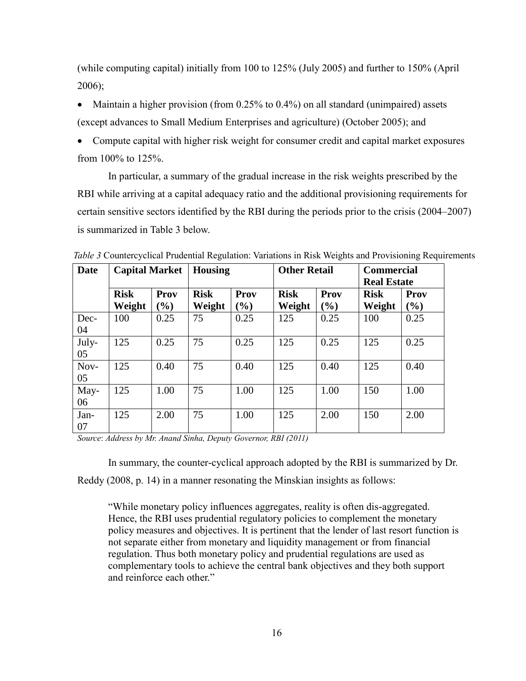(while computing capital) initially from 100 to 125% (July 2005) and further to 150% (April 2006);

- Maintain a higher provision (from  $0.25\%$  to  $0.4\%$ ) on all standard (unimpaired) assets (except advances to Small Medium Enterprises and agriculture) (October 2005); and
- Compute capital with higher risk weight for consumer credit and capital market exposures from 100% to 125%.

In particular, a summary of the gradual increase in the risk weights prescribed by the RBI while arriving at a capital adequacy ratio and the additional provisioning requirements for certain sensitive sectors identified by the RBI during the periods prior to the crisis (2004–2007) is summarized in Table 3 below.

| <b>Date</b> | <b>Capital Market</b> |                                      | <b>Housing</b>        |                | <b>Other Retail</b>   |                                | <b>Commercial</b><br><b>Real Estate</b> |                         |
|-------------|-----------------------|--------------------------------------|-----------------------|----------------|-----------------------|--------------------------------|-----------------------------------------|-------------------------|
|             | <b>Risk</b><br>Weight | Prov<br>$\left( \frac{0}{0} \right)$ | <b>Risk</b><br>Weight | Prov<br>$(\%)$ | <b>Risk</b><br>Weight | <b>Prov</b><br>$\mathcal{O}_0$ | <b>Risk</b><br>Weight                   | Prov<br>$\mathcal{O}_0$ |
| Dec-<br>04  | 100                   | 0.25                                 | 75                    | 0.25           | 125                   | 0.25                           | 100                                     | 0.25                    |
| July-<br>05 | 125                   | 0.25                                 | 75                    | 0.25           | 125                   | 0.25                           | 125                                     | 0.25                    |
| Nov-<br>05  | 125                   | 0.40                                 | 75                    | 0.40           | 125                   | 0.40                           | 125                                     | 0.40                    |
| May-<br>06  | 125                   | 1.00                                 | 75                    | 1.00           | 125                   | 1.00                           | 150                                     | 1.00                    |
| Jan-<br>07  | 125                   | 2.00                                 | 75                    | 1.00           | 125                   | 2.00                           | 150                                     | 2.00                    |

*Table 3* Countercyclical Prudential Regulation: Variations in Risk Weights and Provisioning Requirements

*Source*: *Address by Mr. Anand Sinha, Deputy Governor, RBI (2011)*

In summary, the counter-cyclical approach adopted by the RBI is summarized by Dr.

Reddy (2008, p. 14) in a manner resonating the Minskian insights as follows:

"While monetary policy influences aggregates, reality is often dis-aggregated. Hence, the RBI uses prudential regulatory policies to complement the monetary policy measures and objectives. It is pertinent that the lender of last resort function is not separate either from monetary and liquidity management or from financial regulation. Thus both monetary policy and prudential regulations are used as complementary tools to achieve the central bank objectives and they both support and reinforce each other."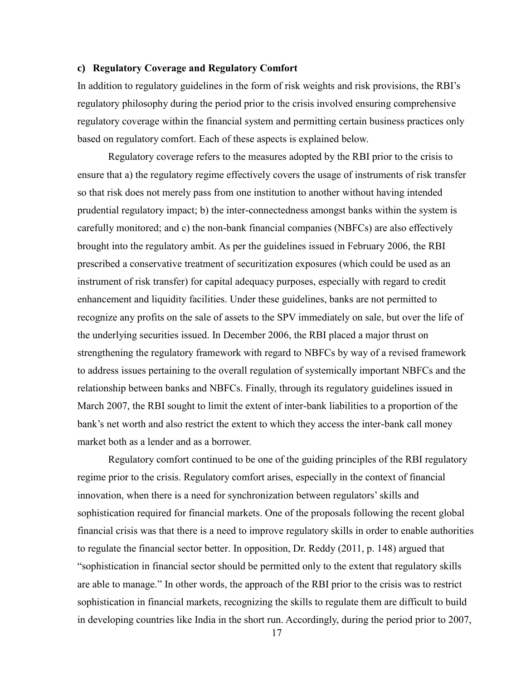## **c) Regulatory Coverage and Regulatory Comfort**

In addition to regulatory guidelines in the form of risk weights and risk provisions, the RBI's regulatory philosophy during the period prior to the crisis involved ensuring comprehensive regulatory coverage within the financial system and permitting certain business practices only based on regulatory comfort. Each of these aspects is explained below.

Regulatory coverage refers to the measures adopted by the RBI prior to the crisis to ensure that a) the regulatory regime effectively covers the usage of instruments of risk transfer so that risk does not merely pass from one institution to another without having intended prudential regulatory impact; b) the inter-connectedness amongst banks within the system is carefully monitored; and c) the non-bank financial companies (NBFCs) are also effectively brought into the regulatory ambit. As per the guidelines issued in February 2006, the RBI prescribed a conservative treatment of securitization exposures (which could be used as an instrument of risk transfer) for capital adequacy purposes, especially with regard to credit enhancement and liquidity facilities. Under these guidelines, banks are not permitted to recognize any profits on the sale of assets to the SPV immediately on sale, but over the life of the underlying securities issued. In December 2006, the RBI placed a major thrust on strengthening the regulatory framework with regard to NBFCs by way of a revised framework to address issues pertaining to the overall regulation of systemically important NBFCs and the relationship between banks and NBFCs. Finally, through its regulatory guidelines issued in March 2007, the RBI sought to limit the extent of inter-bank liabilities to a proportion of the bank's net worth and also restrict the extent to which they access the inter-bank call money market both as a lender and as a borrower.

Regulatory comfort continued to be one of the guiding principles of the RBI regulatory regime prior to the crisis. Regulatory comfort arises, especially in the context of financial innovation, when there is a need for synchronization between regulators'skills and sophistication required for financial markets. One of the proposals following the recent global financial crisis was that there is a need to improve regulatory skills in order to enable authorities to regulate the financial sector better. In opposition, Dr. Reddy (2011, p. 148) argued that "sophistication in financial sector should be permitted only to the extent that regulatory skills are able to manage." In other words, the approach of the RBI prior to the crisis was to restrict sophistication in financial markets, recognizing the skills to regulate them are difficult to build in developing countries like India in the short run. Accordingly, during the period prior to 2007,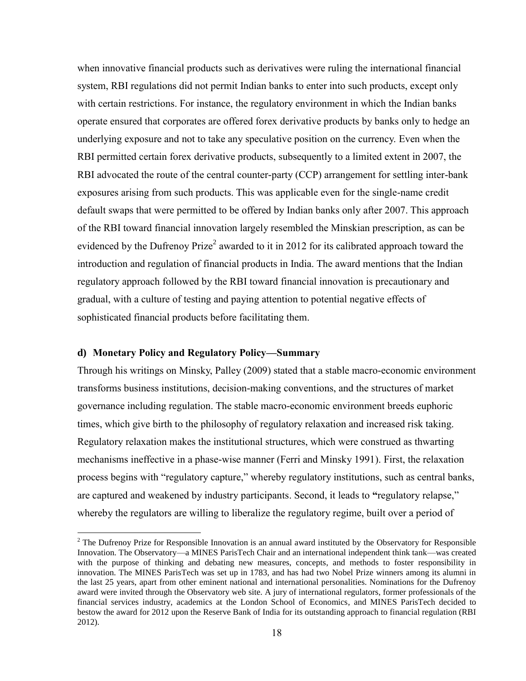when innovative financial products such as derivatives were ruling the international financial system, RBI regulations did not permit Indian banks to enter into such products, except only with certain restrictions. For instance, the regulatory environment in which the Indian banks operate ensured that corporates are offered forex derivative products by banks only to hedge an underlying exposure and not to take any speculative position on the currency. Even when the RBI permitted certain forex derivative products, subsequently to a limited extent in 2007, the RBI advocated the route of the central counter-party (CCP) arrangement for settling inter-bank exposures arising from such products. This was applicable even for the single-name credit default swaps that were permitted to be offered by Indian banks only after 2007. This approach of the RBI toward financial innovation largely resembled the Minskian prescription, as can be evidenced by the Dufrenoy Prize<sup>2</sup> awarded to it in 2012 for its calibrated approach toward the introduction and regulation of financial products in India. The award mentions that the Indian regulatory approach followed by the RBI toward financial innovation is precautionary and gradual, with a culture of testing and paying attention to potential negative effects of sophisticated financial products before facilitating them.

## **d) Monetary Policy and Regulatory Policy—Summary**

 $\overline{a}$ 

Through his writings on Minsky, Palley (2009) stated that a stable macro-economic environment transforms business institutions, decision-making conventions, and the structures of market governance including regulation. The stable macro-economic environment breeds euphoric times, which give birth to the philosophy of regulatory relaxation and increased risk taking. Regulatory relaxation makes the institutional structures, which were construed as thwarting mechanisms ineffective in a phase-wise manner (Ferri and Minsky 1991). First, the relaxation process begins with "regulatory capture," whereby regulatory institutions, such as central banks, are captured and weakened by industry participants. Second, it leads to **"**regulatory relapse," whereby the regulators are willing to liberalize the regulatory regime, built over a period of

 $2$  The Dufrenoy Prize for Responsible Innovation is an annual award instituted by the Observatory for Responsible Innovation. The Observatory—a MINES ParisTech Chair and an international independent think tank—was created with the purpose of thinking and debating new measures, concepts, and methods to foster responsibility in innovation. The MINES ParisTech was set up in 1783, and has had two Nobel Prize winners among its alumni in the last 25 years, apart from other eminent national and international personalities. Nominations for the Dufrenoy award were invited through the Observatory web site. A jury of international regulators, former professionals of the financial services industry, academics at the London School of Economics, and MINES ParisTech decided to bestow the award for 2012 upon the Reserve Bank of India for its outstanding approach to financial regulation (RBI 2012).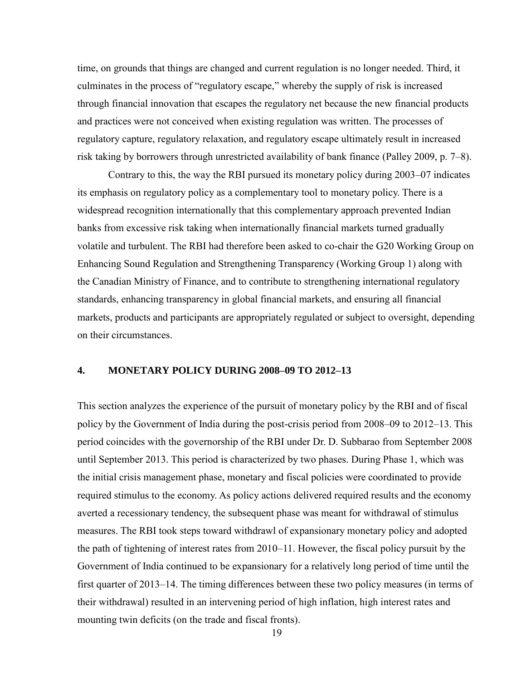time, on grounds that things are changed and current regulation is no longer needed. Third, it culminates in the process of "regulatory escape," whereby the supply of risk is increased through financial innovation that escapes the regulatory net because the new financial products and practices were not conceived when existing regulation was written. The processes of regulatory capture, regulatory relaxation, and regulatory escape ultimately result in increased risk taking by borrowers through unrestricted availability of bank finance (Palley 2009, p. 7–8).

Contrary to this, the way the RBI pursued its monetary policy during 2003–07 indicates its emphasis on regulatory policy as a complementary tool to monetary policy. There is a widespread recognition internationally that this complementary approach prevented Indian banks from excessive risk taking when internationally financial markets turned gradually volatile and turbulent. The RBI had therefore been asked to co-chair the G20 Working Group on Enhancing Sound Regulation and Strengthening Transparency (Working Group 1) along with the Canadian Ministry of Finance, and to contribute to strengthening international regulatory standards, enhancing transparency in global financial markets, and ensuring all financial markets, products and participants are appropriately regulated or subject to oversight, depending on their circumstances.

## **4. MONETARY POLICY DURING 2008–09 TO 2012–13**

This section analyzes the experience of the pursuit of monetary policy by the RBI and of fiscal policy by the Government of India during the post-crisis period from 2008–09 to 2012–13. This period coincides with the governorship of the RBI under Dr. D. Subbarao from September 2008 until September 2013. This period is characterized by two phases. During Phase 1, which was the initial crisis management phase, monetary and fiscal policies were coordinated to provide required stimulus to the economy. As policy actions delivered required results and the economy averted a recessionary tendency, the subsequent phase was meant for withdrawal of stimulus measures. The RBI took steps toward withdrawl of expansionary monetary policy and adopted the path of tightening of interest rates from 2010–11. However, the fiscal policy pursuit by the Government of India continued to be expansionary for a relatively long period of time until the first quarter of 2013–14. The timing differences between these two policy measures (in terms of their withdrawal) resulted in an intervening period of high inflation, high interest rates and mounting twin deficits (on the trade and fiscal fronts).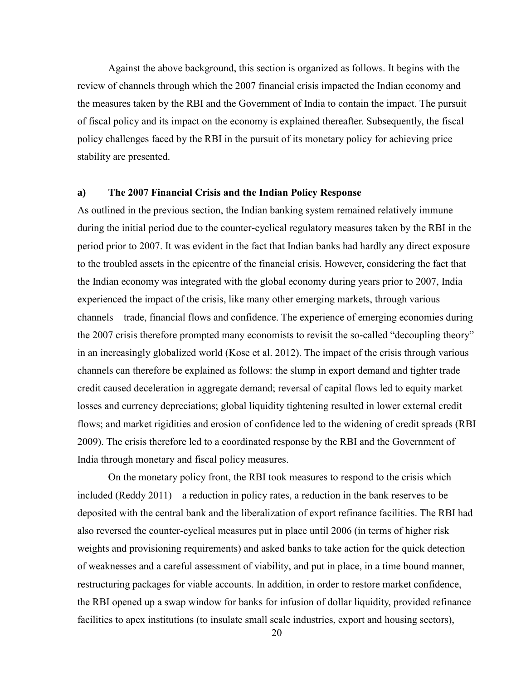Against the above background, this section is organized as follows. It begins with the review of channels through which the 2007 financial crisis impacted the Indian economy and the measures taken by the RBI and the Government of India to contain the impact. The pursuit of fiscal policy and its impact on the economy is explained thereafter. Subsequently, the fiscal policy challenges faced by the RBI in the pursuit of its monetary policy for achieving price stability are presented.

#### **a) The 2007 Financial Crisis and the Indian Policy Response**

As outlined in the previous section, the Indian banking system remained relatively immune during the initial period due to the counter-cyclical regulatory measures taken by the RBI in the period prior to 2007. It was evident in the fact that Indian banks had hardly any direct exposure to the troubled assets in the epicentre of the financial crisis. However, considering the fact that the Indian economy was integrated with the global economy during years prior to 2007, India experienced the impact of the crisis, like many other emerging markets, through various channels—trade, financial flows and confidence. The experience of emerging economies during the 2007 crisis therefore prompted many economists to revisit the so-called "decoupling theory" in an increasingly globalized world (Kose et al. 2012). The impact of the crisis through various channels can therefore be explained as follows: the slump in export demand and tighter trade credit caused deceleration in aggregate demand; reversal of capital flows led to equity market losses and currency depreciations; global liquidity tightening resulted in lower external credit flows; and market rigidities and erosion of confidence led to the widening of credit spreads (RBI 2009). The crisis therefore led to a coordinated response by the RBI and the Government of India through monetary and fiscal policy measures.

On the monetary policy front, the RBI took measures to respond to the crisis which included (Reddy 2011)—a reduction in policy rates, a reduction in the bank reserves to be deposited with the central bank and the liberalization of export refinance facilities. The RBI had also reversed the counter-cyclical measures put in place until 2006 (in terms of higher risk weights and provisioning requirements) and asked banks to take action for the quick detection of weaknesses and a careful assessment of viability, and put in place, in a time bound manner, restructuring packages for viable accounts. In addition, in order to restore market confidence, the RBI opened up a swap window for banks for infusion of dollar liquidity, provided refinance facilities to apex institutions (to insulate small scale industries, export and housing sectors),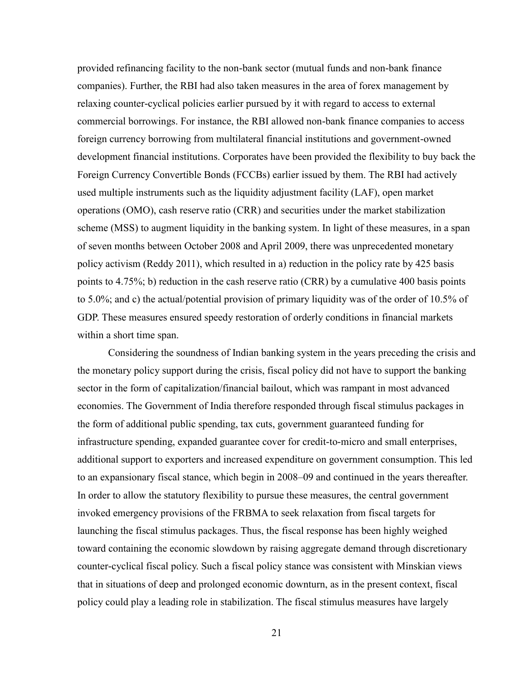provided refinancing facility to the non-bank sector (mutual funds and non-bank finance companies). Further, the RBI had also taken measures in the area of forex management by relaxing counter-cyclical policies earlier pursued by it with regard to access to external commercial borrowings. For instance, the RBI allowed non-bank finance companies to access foreign currency borrowing from multilateral financial institutions and government-owned development financial institutions. Corporates have been provided the flexibility to buy back the Foreign Currency Convertible Bonds (FCCBs) earlier issued by them. The RBI had actively used multiple instruments such as the liquidity adjustment facility (LAF), open market operations (OMO), cash reserve ratio (CRR) and securities under the market stabilization scheme (MSS) to augment liquidity in the banking system. In light of these measures, in a span of seven months between October 2008 and April 2009, there was unprecedented monetary policy activism (Reddy 2011), which resulted in a) reduction in the policy rate by 425 basis points to 4.75%; b) reduction in the cash reserve ratio (CRR) by a cumulative 400 basis points to 5.0%; and c) the actual/potential provision of primary liquidity was of the order of 10.5% of GDP. These measures ensured speedy restoration of orderly conditions in financial markets within a short time span.

Considering the soundness of Indian banking system in the years preceding the crisis and the monetary policy support during the crisis, fiscal policy did not have to support the banking sector in the form of capitalization/financial bailout, which was rampant in most advanced economies. The Government of India therefore responded through fiscal stimulus packages in the form of additional public spending, tax cuts, government guaranteed funding for infrastructure spending, expanded guarantee cover for credit-to-micro and small enterprises, additional support to exporters and increased expenditure on government consumption. This led to an expansionary fiscal stance, which begin in 2008–09 and continued in the years thereafter. In order to allow the statutory flexibility to pursue these measures, the central government invoked emergency provisions of the FRBMA to seek relaxation from fiscal targets for launching the fiscal stimulus packages. Thus, the fiscal response has been highly weighed toward containing the economic slowdown by raising aggregate demand through discretionary counter-cyclical fiscal policy. Such a fiscal policy stance was consistent with Minskian views that in situations of deep and prolonged economic downturn, as in the present context, fiscal policy could play a leading role in stabilization. The fiscal stimulus measures have largely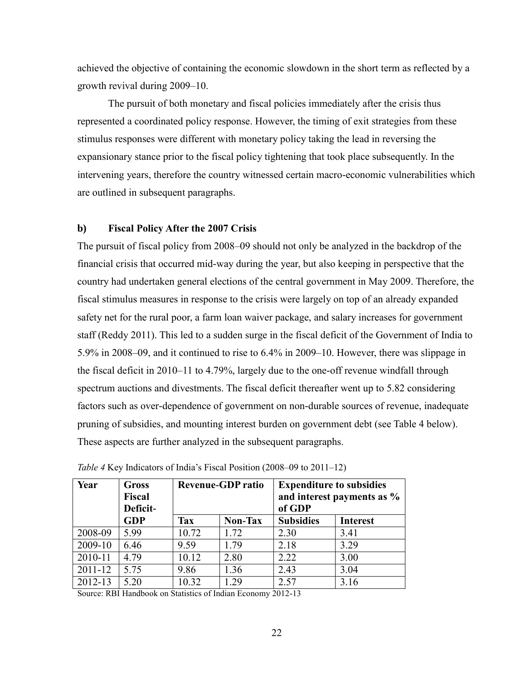achieved the objective of containing the economic slowdown in the short term as reflected by a growth revival during 2009–10.

The pursuit of both monetary and fiscal policies immediately after the crisis thus represented a coordinated policy response. However, the timing of exit strategies from these stimulus responses were different with monetary policy taking the lead in reversing the expansionary stance prior to the fiscal policy tightening that took place subsequently. In the intervening years, therefore the country witnessed certain macro-economic vulnerabilities which are outlined in subsequent paragraphs.

## **b) Fiscal Policy After the 2007 Crisis**

The pursuit of fiscal policy from 2008–09 should not only be analyzed in the backdrop of the financial crisis that occurred mid-way during the year, but also keeping in perspective that the country had undertaken general elections of the central government in May 2009. Therefore, the fiscal stimulus measures in response to the crisis were largely on top of an already expanded safety net for the rural poor, a farm loan waiver package, and salary increases for government staff (Reddy 2011). This led to a sudden surge in the fiscal deficit of the Government of India to 5.9% in 2008–09, and it continued to rise to 6.4% in 2009–10. However, there was slippage in the fiscal deficit in 2010–11 to 4.79%, largely due to the one-off revenue windfall through spectrum auctions and divestments. The fiscal deficit thereafter went up to 5.82 considering factors such as over-dependence of government on non-durable sources of revenue, inadequate pruning of subsidies, and mounting interest burden on government debt (see Table 4 below). These aspects are further analyzed in the subsequent paragraphs.

| Year    | <b>Gross</b><br><b>Fiscal</b><br>Deficit- | <b>Revenue-GDP</b> ratio |                | <b>Expenditure to subsidies</b><br>and interest payments as %<br>of GDP |                 |
|---------|-------------------------------------------|--------------------------|----------------|-------------------------------------------------------------------------|-----------------|
|         | <b>GDP</b>                                | <b>Tax</b>               | <b>Non-Tax</b> | <b>Subsidies</b>                                                        | <b>Interest</b> |
| 2008-09 | 5.99                                      | 10.72                    | 1.72           | 2.30                                                                    | 3.41            |
| 2009-10 | 6.46                                      | 9.59                     | 1.79           | 2.18                                                                    | 3.29            |
| 2010-11 | 4.79                                      | 10.12                    | 2.80           | 2.22                                                                    | 3.00            |
| 2011-12 | 5.75                                      | 9.86                     | 1.36           | 2.43                                                                    | 3.04            |
| 2012-13 | 5.20                                      | 10.32                    | 1.29           | 2.57                                                                    | 3.16            |

*Table 4* Key Indicators of India's Fiscal Position (2008–09 to 2011–12)

Source: RBI Handbook on Statistics of Indian Economy 2012-13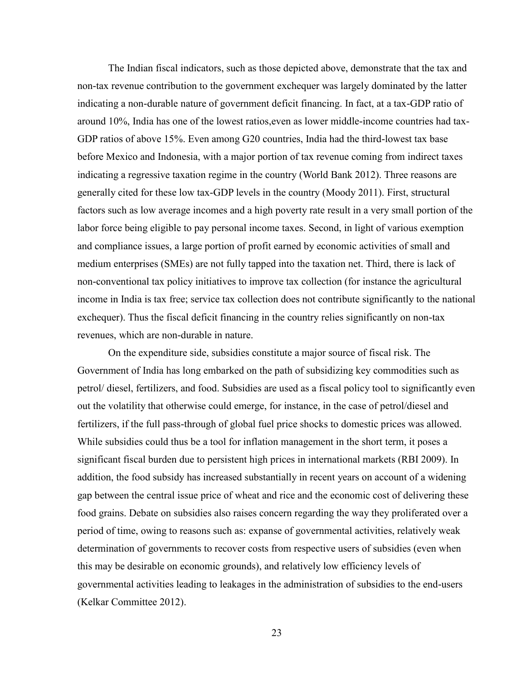The Indian fiscal indicators, such as those depicted above, demonstrate that the tax and non-tax revenue contribution to the government exchequer was largely dominated by the latter indicating a non-durable nature of government deficit financing. In fact, at a tax-GDP ratio of around 10%, India has one of the lowest ratios,even as lower middle-income countries had tax-GDP ratios of above 15%. Even among G20 countries, India had the third-lowest tax base before Mexico and Indonesia, with a major portion of tax revenue coming from indirect taxes indicating a regressive taxation regime in the country (World Bank 2012). Three reasons are generally cited for these low tax-GDP levels in the country (Moody 2011). First, structural factors such as low average incomes and a high poverty rate result in a very small portion of the labor force being eligible to pay personal income taxes. Second, in light of various exemption and compliance issues, a large portion of profit earned by economic activities of small and medium enterprises (SMEs) are not fully tapped into the taxation net. Third, there is lack of non-conventional tax policy initiatives to improve tax collection (for instance the agricultural income in India is tax free; service tax collection does not contribute significantly to the national exchequer). Thus the fiscal deficit financing in the country relies significantly on non-tax revenues, which are non-durable in nature.

On the expenditure side, subsidies constitute a major source of fiscal risk. The Government of India has long embarked on the path of subsidizing key commodities such as petrol/ diesel, fertilizers, and food. Subsidies are used as a fiscal policy tool to significantly even out the volatility that otherwise could emerge, for instance, in the case of petrol/diesel and fertilizers, if the full pass-through of global fuel price shocks to domestic prices was allowed. While subsidies could thus be a tool for inflation management in the short term, it poses a significant fiscal burden due to persistent high prices in international markets (RBI 2009). In addition, the food subsidy has increased substantially in recent years on account of a widening gap between the central issue price of wheat and rice and the economic cost of delivering these food grains. Debate on subsidies also raises concern regarding the way they proliferated over a period of time, owing to reasons such as: expanse of governmental activities, relatively weak determination of governments to recover costs from respective users of subsidies (even when this may be desirable on economic grounds), and relatively low efficiency levels of governmental activities leading to leakages in the administration of subsidies to the end-users (Kelkar Committee 2012).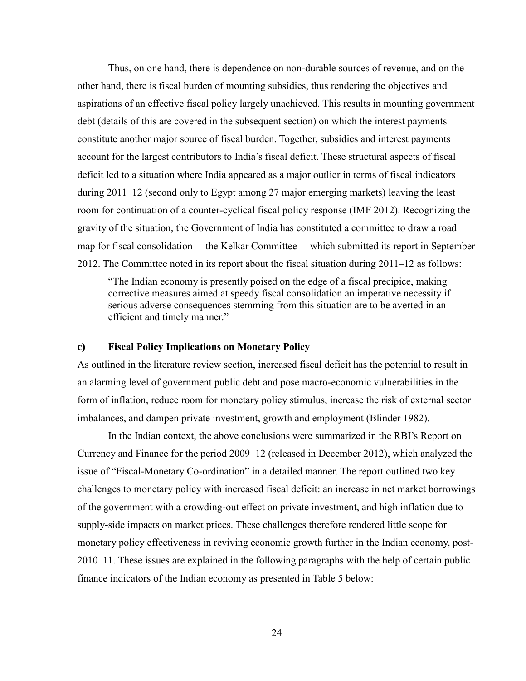Thus, on one hand, there is dependence on non-durable sources of revenue, and on the other hand, there is fiscal burden of mounting subsidies, thus rendering the objectives and aspirations of an effective fiscal policy largely unachieved. This results in mounting government debt (details of this are covered in the subsequent section) on which the interest payments constitute another major source of fiscal burden. Together, subsidies and interest payments account for the largest contributors to India's fiscal deficit. These structural aspects of fiscal deficit led to a situation where India appeared as a major outlier in terms of fiscal indicators during 2011–12 (second only to Egypt among 27 major emerging markets) leaving the least room for continuation of a counter-cyclical fiscal policy response (IMF 2012). Recognizing the gravity of the situation, the Government of India has constituted a committee to draw a road map for fiscal consolidation— the Kelkar Committee— which submitted its report in September 2012. The Committee noted in its report about the fiscal situation during 2011–12 as follows:

"The Indian economy is presently poised on the edge of a fiscal precipice, making corrective measures aimed at speedy fiscal consolidation an imperative necessity if serious adverse consequences stemming from this situation are to be averted in an efficient and timely manner."

#### **c) Fiscal Policy Implications on Monetary Policy**

As outlined in the literature review section, increased fiscal deficit has the potential to result in an alarming level of government public debt and pose macro-economic vulnerabilities in the form of inflation, reduce room for monetary policy stimulus, increase the risk of external sector imbalances, and dampen private investment, growth and employment (Blinder 1982).

In the Indian context, the above conclusions were summarized in the RBI's Report on Currency and Finance for the period 2009–12 (released in December 2012), which analyzed the issue of "Fiscal-Monetary Co-ordination" in a detailed manner. The report outlined two key challenges to monetary policy with increased fiscal deficit: an increase in net market borrowings of the government with a crowding-out effect on private investment, and high inflation due to supply-side impacts on market prices. These challenges therefore rendered little scope for monetary policy effectiveness in reviving economic growth further in the Indian economy, post-2010–11. These issues are explained in the following paragraphs with the help of certain public finance indicators of the Indian economy as presented in Table 5 below: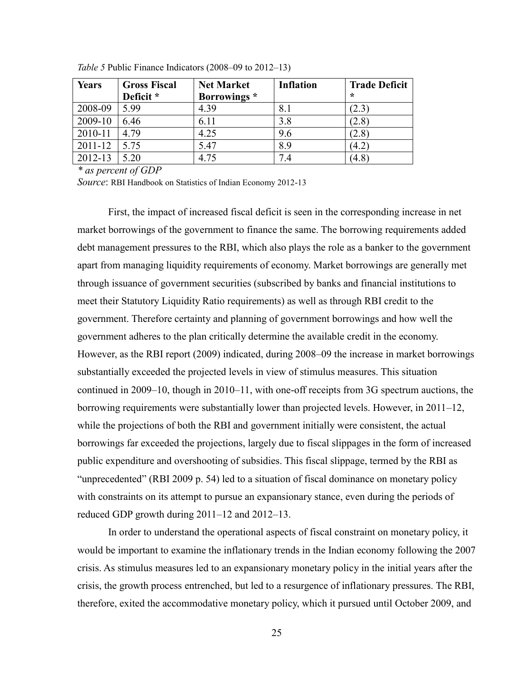| <b>Years</b> | <b>Gross Fiscal</b> | <b>Net Market</b> | <b>Inflation</b> | <b>Trade Deficit</b> |
|--------------|---------------------|-------------------|------------------|----------------------|
|              | Deficit *           | Borrowings *      |                  | $\star$              |
| 2008-09      | 5.99                | 4.39              | 8.1              | 2.3                  |
| 2009-10      | 6.46                | 6.11              | 3.8              | (2.8)                |
| 2010-11      | 4.79                | 4.25              | 9.6              | (2.8)                |
| 2011-12      | 5.75                | 5.47              | 8.9              | $\left(4.2\right)$   |
| 2012-13      | 5.20                | 4.75              | 7<br>14          | (4.8)                |

*Table 5* Public Finance Indicators (2008–09 to 2012–13)

*\* as percent of GDP*

*Source*: RBI Handbook on Statistics of Indian Economy 2012-13

First, the impact of increased fiscal deficit is seen in the corresponding increase in net market borrowings of the government to finance the same. The borrowing requirements added debt management pressures to the RBI, which also plays the role as a banker to the government apart from managing liquidity requirements of economy. Market borrowings are generally met through issuance of government securities (subscribed by banks and financial institutions to meet their Statutory Liquidity Ratio requirements) as well as through RBI credit to the government. Therefore certainty and planning of government borrowings and how well the government adheres to the plan critically determine the available credit in the economy. However, as the RBI report (2009) indicated, during 2008–09 the increase in market borrowings substantially exceeded the projected levels in view of stimulus measures. This situation continued in 2009–10, though in 2010–11, with one-off receipts from 3G spectrum auctions, the borrowing requirements were substantially lower than projected levels. However, in 2011–12, while the projections of both the RBI and government initially were consistent, the actual borrowings far exceeded the projections, largely due to fiscal slippages in the form of increased public expenditure and overshooting of subsidies. This fiscal slippage, termed by the RBI as "unprecedented" (RBI 2009 p. 54) led to a situation of fiscal dominance on monetary policy with constraints on its attempt to pursue an expansionary stance, even during the periods of reduced GDP growth during 2011–12 and 2012–13.

In order to understand the operational aspects of fiscal constraint on monetary policy, it would be important to examine the inflationary trends in the Indian economy following the 2007 crisis. As stimulus measures led to an expansionary monetary policy in the initial years after the crisis, the growth process entrenched, but led to a resurgence of inflationary pressures. The RBI, therefore, exited the accommodative monetary policy, which it pursued until October 2009, and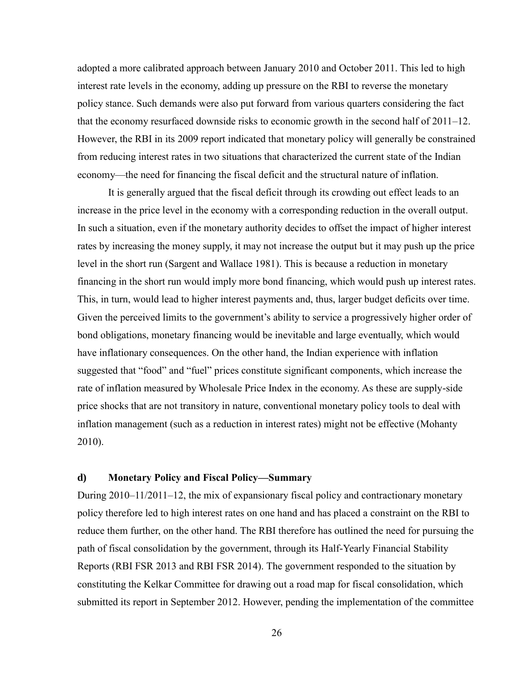adopted a more calibrated approach between January 2010 and October 2011. This led to high interest rate levels in the economy, adding up pressure on the RBI to reverse the monetary policy stance. Such demands were also put forward from various quarters considering the fact that the economy resurfaced downside risks to economic growth in the second half of 2011–12. However, the RBI in its 2009 report indicated that monetary policy will generally be constrained from reducing interest rates in two situations that characterized the current state of the Indian economy—the need for financing the fiscal deficit and the structural nature of inflation.

It is generally argued that the fiscal deficit through its crowding out effect leads to an increase in the price level in the economy with a corresponding reduction in the overall output. In such a situation, even if the monetary authority decides to offset the impact of higher interest rates by increasing the money supply, it may not increase the output but it may push up the price level in the short run (Sargent and Wallace 1981). This is because a reduction in monetary financing in the short run would imply more bond financing, which would push up interest rates. This, in turn, would lead to higher interest payments and, thus, larger budget deficits over time. Given the perceived limits to the government's ability to service a progressively higher order of bond obligations, monetary financing would be inevitable and large eventually, which would have inflationary consequences. On the other hand, the Indian experience with inflation suggested that "food" and "fuel" prices constitute significant components, which increase the rate of inflation measured by Wholesale Price Index in the economy. As these are supply-side price shocks that are not transitory in nature, conventional monetary policy tools to deal with inflation management (such as a reduction in interest rates) might not be effective (Mohanty 2010).

## **d) Monetary Policy and Fiscal Policy—Summary**

During 2010–11/2011–12, the mix of expansionary fiscal policy and contractionary monetary policy therefore led to high interest rates on one hand and has placed a constraint on the RBI to reduce them further, on the other hand. The RBI therefore has outlined the need for pursuing the path of fiscal consolidation by the government, through its Half-Yearly Financial Stability Reports (RBI FSR 2013 and RBI FSR 2014). The government responded to the situation by constituting the Kelkar Committee for drawing out a road map for fiscal consolidation, which submitted its report in September 2012. However, pending the implementation of the committee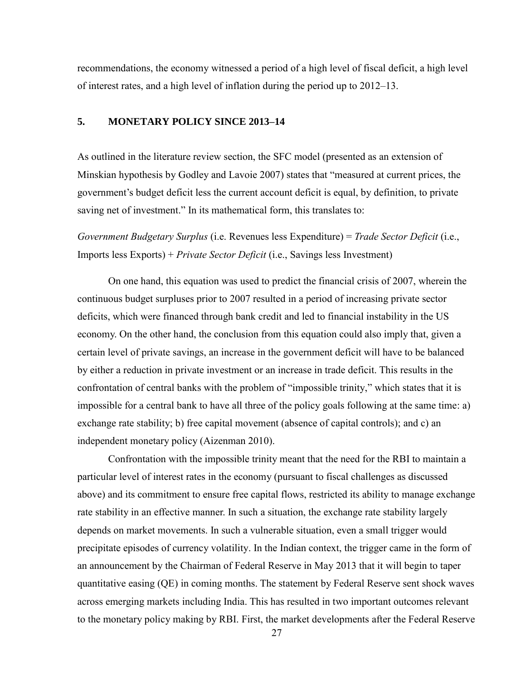recommendations, the economy witnessed a period of a high level of fiscal deficit, a high level of interest rates, and a high level of inflation during the period up to 2012–13.

## **5. MONETARY POLICY SINCE 2013–14**

As outlined in the literature review section, the SFC model (presented as an extension of Minskian hypothesis by Godley and Lavoie 2007) states that "measured at current prices, the government's budget deficit less the current account deficit is equal, by definition, to private saving net of investment." In its mathematical form, this translates to:

*Government Budgetary Surplus* (i.e. Revenues less Expenditure) = *Trade Sector Deficit* (i.e., Imports less Exports) + *Private Sector Deficit* (i.e., Savings less Investment)

On one hand, this equation was used to predict the financial crisis of 2007, wherein the continuous budget surpluses prior to 2007 resulted in a period of increasing private sector deficits, which were financed through bank credit and led to financial instability in the US economy. On the other hand, the conclusion from this equation could also imply that, given a certain level of private savings, an increase in the government deficit will have to be balanced by either a reduction in private investment or an increase in trade deficit. This results in the confrontation of central banks with the problem of "impossible trinity," which states that it is impossible for a central bank to have all three of the policy goals following at the same time: a) exchange rate stability; b) free capital movement (absence of capital controls); and c) an independent monetary policy (Aizenman 2010).

Confrontation with the impossible trinity meant that the need for the RBI to maintain a particular level of interest rates in the economy (pursuant to fiscal challenges as discussed above) and its commitment to ensure free capital flows, restricted its ability to manage exchange rate stability in an effective manner. In such a situation, the exchange rate stability largely depends on market movements. In such a vulnerable situation, even a small trigger would precipitate episodes of currency volatility. In the Indian context, the trigger came in the form of an announcement by the Chairman of Federal Reserve in May 2013 that it will begin to taper quantitative easing (QE) in coming months. The statement by Federal Reserve sent shock waves across emerging markets including India. This has resulted in two important outcomes relevant to the monetary policy making by RBI. First, the market developments after the Federal Reserve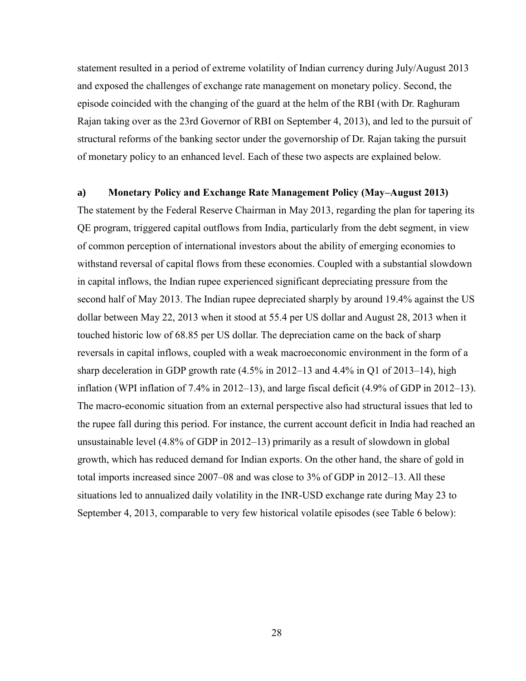statement resulted in a period of extreme volatility of Indian currency during July/August 2013 and exposed the challenges of exchange rate management on monetary policy. Second, the episode coincided with the changing of the guard at the helm of the RBI (with Dr. Raghuram Rajan taking over as the 23rd Governor of RBI on September 4, 2013), and led to the pursuit of structural reforms of the banking sector under the governorship of Dr. Rajan taking the pursuit of monetary policy to an enhanced level. Each of these two aspects are explained below.

## **a) Monetary Policy and Exchange Rate Management Policy (May–August 2013)**

The statement by the Federal Reserve Chairman in May 2013, regarding the plan for tapering its QE program, triggered capital outflows from India, particularly from the debt segment, in view of common perception of international investors about the ability of emerging economies to withstand reversal of capital flows from these economies. Coupled with a substantial slowdown in capital inflows, the Indian rupee experienced significant depreciating pressure from the second half of May 2013. The Indian rupee depreciated sharply by around 19.4% against the US dollar between May 22, 2013 when it stood at 55.4 per US dollar and August 28, 2013 when it touched historic low of 68.85 per US dollar. The depreciation came on the back of sharp reversals in capital inflows, coupled with a weak macroeconomic environment in the form of a sharp deceleration in GDP growth rate (4.5% in 2012–13 and 4.4% in Q1 of 2013–14), high inflation (WPI inflation of 7.4% in 2012–13), and large fiscal deficit (4.9% of GDP in 2012–13). The macro-economic situation from an external perspective also had structural issues that led to the rupee fall during this period. For instance, the current account deficit in India had reached an unsustainable level (4.8% of GDP in 2012–13) primarily as a result of slowdown in global growth, which has reduced demand for Indian exports. On the other hand, the share of gold in total imports increased since 2007–08 and was close to 3% of GDP in 2012–13. All these situations led to annualized daily volatility in the INR-USD exchange rate during May 23 to September 4, 2013, comparable to very few historical volatile episodes (see Table 6 below):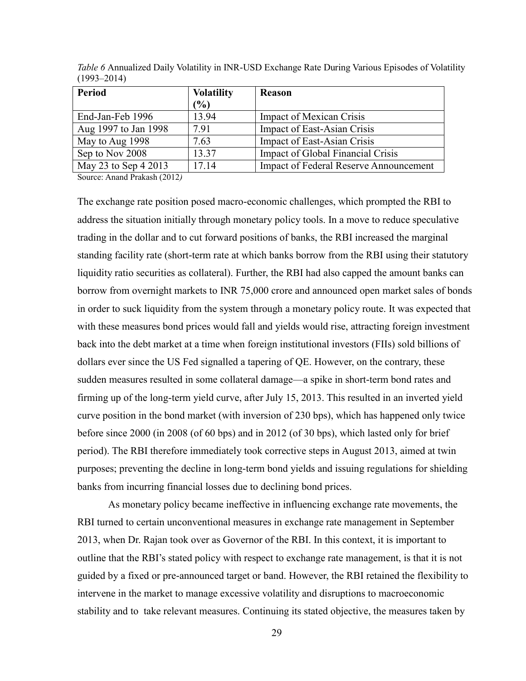| Period               | <b>Volatility</b> | <b>Reason</b>                                 |
|----------------------|-------------------|-----------------------------------------------|
|                      | $\frac{9}{6}$     |                                               |
| End-Jan-Feb 1996     | 13.94             | <b>Impact of Mexican Crisis</b>               |
| Aug 1997 to Jan 1998 | 7.91              | Impact of East-Asian Crisis                   |
| May to Aug 1998      | 7.63              | Impact of East-Asian Crisis                   |
| Sep to Nov 2008      | 13.37             | Impact of Global Financial Crisis             |
| May 23 to Sep 4 2013 | 17.14             | <b>Impact of Federal Reserve Announcement</b> |

*Table 6* Annualized Daily Volatility in INR-USD Exchange Rate During Various Episodes of Volatility (1993–2014)

Source: Anand Prakash (2012*)*

The exchange rate position posed macro-economic challenges, which prompted the RBI to address the situation initially through monetary policy tools. In a move to reduce speculative trading in the dollar and to cut forward positions of banks, the RBI increased the marginal standing facility rate (short-term rate at which banks borrow from the RBI using their statutory liquidity ratio securities as collateral). Further, the RBI had also capped the amount banks can borrow from overnight markets to INR 75,000 crore and announced open market sales of bonds in order to suck liquidity from the system through a monetary policy route. It was expected that with these measures bond prices would fall and yields would rise, attracting foreign investment back into the debt market at a time when foreign institutional investors (FIIs) sold billions of dollars ever since the US Fed signalled a tapering of QE. However, on the contrary, these sudden measures resulted in some collateral damage—a spike in short-term bond rates and firming up of the long-term yield curve, after July 15, 2013. This resulted in an inverted yield curve position in the bond market (with inversion of 230 bps), which has happened only twice before since 2000 (in 2008 (of 60 bps) and in 2012 (of 30 bps), which lasted only for brief period). The RBI therefore immediately took corrective steps in August 2013, aimed at twin purposes; preventing the decline in long-term bond yields and issuing regulations for shielding banks from incurring financial losses due to declining bond prices.

As monetary policy became ineffective in influencing exchange rate movements, the RBI turned to certain unconventional measures in exchange rate management in September 2013, when Dr. Rajan took over as Governor of the RBI. In this context, it is important to outline that the RBI's stated policy with respect to exchange rate management, is that it is not guided by a fixed or pre-announced target or band. However, the RBI retained the flexibility to intervene in the market to manage excessive volatility and disruptions to macroeconomic stability and to take relevant measures. Continuing its stated objective, the measures taken by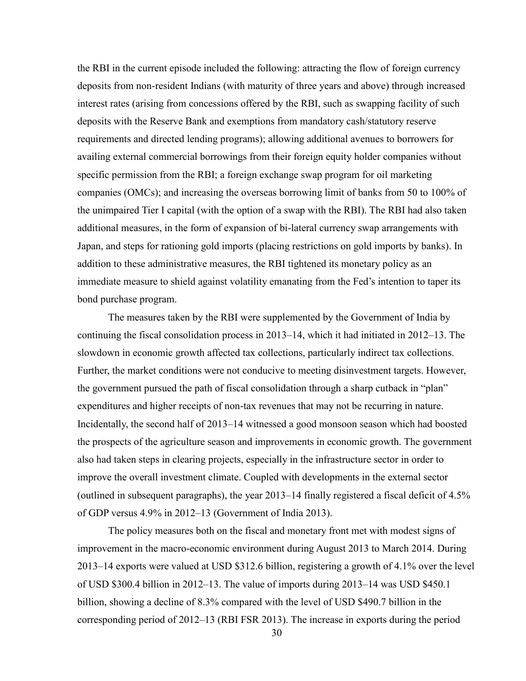the RBI in the current episode included the following: attracting the flow of foreign currency deposits from non-resident Indians (with maturity of three years and above) through increased interest rates (arising from concessions offered by the RBI, such as swapping facility of such deposits with the Reserve Bank and exemptions from mandatory cash/statutory reserve requirements and directed lending programs); allowing additional avenues to borrowers for availing external commercial borrowings from their foreign equity holder companies without specific permission from the RBI; a foreign exchange swap program for oil marketing companies (OMCs); and increasing the overseas borrowing limit of banks from 50 to 100% of the unimpaired Tier I capital (with the option of a swap with the RBI). The RBI had also taken additional measures, in the form of expansion of bi-lateral currency swap arrangements with Japan, and steps for rationing gold imports (placing restrictions on gold imports by banks). In addition to these administrative measures, the RBI tightened its monetary policy as an immediate measure to shield against volatility emanating from the Fed's intention to taper its bond purchase program.

The measures taken by the RBI were supplemented by the Government of India by continuing the fiscal consolidation process in 2013–14, which it had initiated in 2012–13. The slowdown in economic growth affected tax collections, particularly indirect tax collections. Further, the market conditions were not conducive to meeting disinvestment targets. However, the government pursued the path of fiscal consolidation through a sharp cutback in "plan" expenditures and higher receipts of non-tax revenues that may not be recurring in nature. Incidentally, the second half of 2013–14 witnessed a good monsoon season which had boosted the prospects of the agriculture season and improvements in economic growth. The government also had taken steps in clearing projects, especially in the infrastructure sector in order to improve the overall investment climate. Coupled with developments in the external sector (outlined in subsequent paragraphs), the year 2013–14 finally registered a fiscal deficit of 4.5% of GDP versus 4.9% in 2012–13 (Government of India 2013).

The policy measures both on the fiscal and monetary front met with modest signs of improvement in the macro-economic environment during August 2013 to March 2014. During 2013–14 exports were valued at USD \$312.6 billion, registering a growth of 4.1% over the level of USD \$300.4 billion in 2012–13. The value of imports during 2013–14 was USD \$450.1 billion, showing a decline of 8.3% compared with the level of USD \$490.7 billion in the corresponding period of 2012–13 (RBI FSR 2013). The increase in exports during the period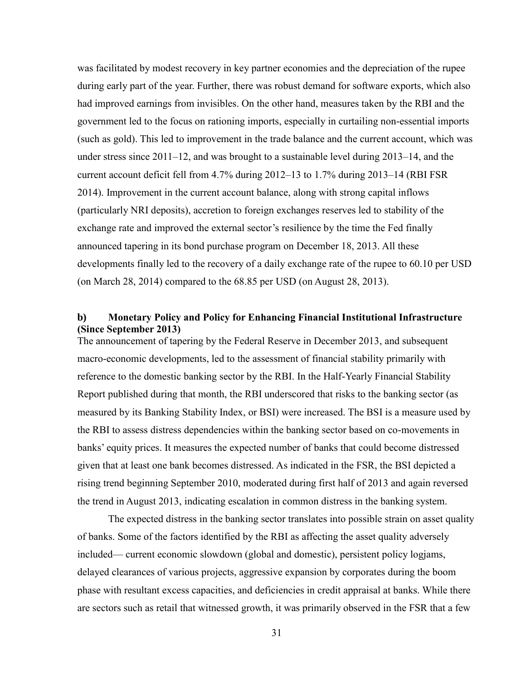was facilitated by modest recovery in key partner economies and the depreciation of the rupee during early part of the year. Further, there was robust demand for software exports, which also had improved earnings from invisibles. On the other hand, measures taken by the RBI and the government led to the focus on rationing imports, especially in curtailing non-essential imports (such as gold). This led to improvement in the trade balance and the current account, which was under stress since 2011–12, and was brought to a sustainable level during 2013–14, and the current account deficit fell from 4.7% during 2012–13 to 1.7% during 2013–14 (RBI FSR 2014). Improvement in the current account balance, along with strong capital inflows (particularly NRI deposits), accretion to foreign exchanges reserves led to stability of the exchange rate and improved the external sector's resilience by the time the Fed finally announced tapering in its bond purchase program on December 18, 2013. All these developments finally led to the recovery of a daily exchange rate of the rupee to 60.10 per USD (on March 28, 2014) compared to the 68.85 per USD (on August 28, 2013).

## **b) Monetary Policy and Policy for Enhancing Financial Institutional Infrastructure (Since September 2013)**

The announcement of tapering by the Federal Reserve in December 2013, and subsequent macro-economic developments, led to the assessment of financial stability primarily with reference to the domestic banking sector by the RBI. In the Half-Yearly Financial Stability Report published during that month, the RBI underscored that risks to the banking sector (as measured by its Banking Stability Index, or BSI) were increased. The BSI is a measure used by the RBI to assess distress dependencies within the banking sector based on co-movements in banks' equity prices. It measures the expected number of banks that could become distressed given that at least one bank becomes distressed. As indicated in the FSR, the BSI depicted a rising trend beginning September 2010, moderated during first half of 2013 and again reversed the trend in August 2013, indicating escalation in common distress in the banking system.

The expected distress in the banking sector translates into possible strain on asset quality of banks. Some of the factors identified by the RBI as affecting the asset quality adversely included— current economic slowdown (global and domestic), persistent policy logjams, delayed clearances of various projects, aggressive expansion by corporates during the boom phase with resultant excess capacities, and deficiencies in credit appraisal at banks. While there are sectors such as retail that witnessed growth, it was primarily observed in the FSR that a few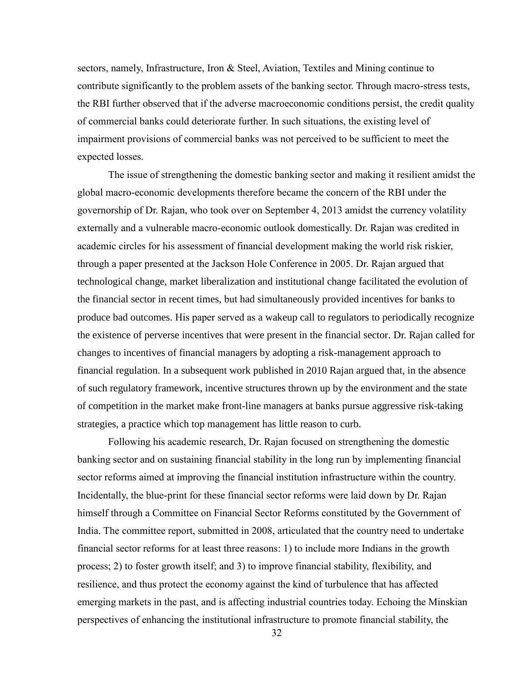sectors, namely, Infrastructure, Iron & Steel, Aviation, Textiles and Mining continue to contribute significantly to the problem assets of the banking sector. Through macro-stress tests, the RBI further observed that if the adverse macroeconomic conditions persist, the credit quality of commercial banks could deteriorate further. In such situations, the existing level of impairment provisions of commercial banks was not perceived to be sufficient to meet the expected losses.

The issue of strengthening the domestic banking sector and making it resilient amidst the global macro-economic developments therefore became the concern of the RBI under the governorship of Dr. Rajan, who took over on September 4, 2013 amidst the currency volatility externally and a vulnerable macro-economic outlook domestically. Dr. Rajan was credited in academic circles for his assessment of financial development making the world risk riskier, through a paper presented at the Jackson Hole Conference in 2005. Dr. Rajan argued that technological change, market liberalization and institutional change facilitated the evolution of the financial sector in recent times, but had simultaneously provided incentives for banks to produce bad outcomes. His paper served as a wakeup call to regulators to periodically recognize the existence of perverse incentives that were present in the financial sector. Dr. Rajan called for changes to incentives of financial managers by adopting a risk-management approach to financial regulation. In a subsequent work published in 2010 Rajan argued that, in the absence of such regulatory framework, incentive structures thrown up by the environment and the state of competition in the market make front-line managers at banks pursue aggressive risk-taking strategies, a practice which top management has little reason to curb.

Following his academic research, Dr. Rajan focused on strengthening the domestic banking sector and on sustaining financial stability in the long run by implementing financial sector reforms aimed at improving the financial institution infrastructure within the country. Incidentally, the blue-print for these financial sector reforms were laid down by Dr. Rajan himself through a Committee on Financial Sector Reforms constituted by the Government of India. The committee report, submitted in 2008, articulated that the country need to undertake financial sector reforms for at least three reasons: 1) to include more Indians in the growth process; 2) to foster growth itself; and 3) to improve financial stability, flexibility, and resilience, and thus protect the economy against the kind of turbulence that has affected emerging markets in the past, and is affecting industrial countries today. Echoing the Minskian perspectives of enhancing the institutional infrastructure to promote financial stability, the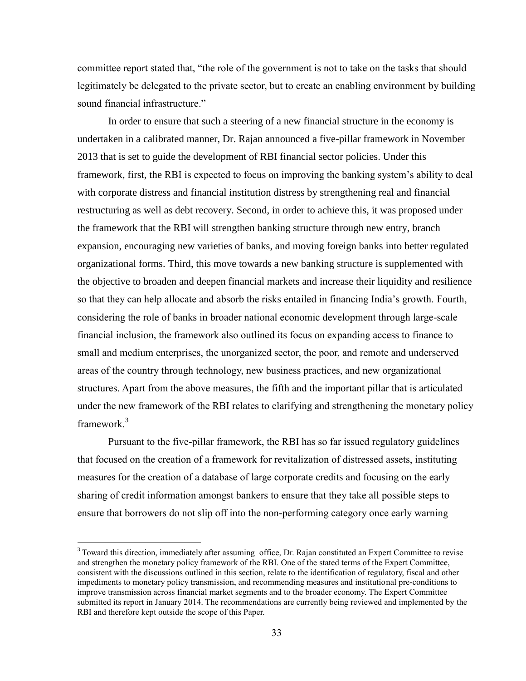committee report stated that, "the role of the government is not to take on the tasks that should legitimately be delegated to the private sector, but to create an enabling environment by building sound financial infrastructure."

In order to ensure that such a steering of a new financial structure in the economy is undertaken in a calibrated manner, Dr. Rajan announced a five-pillar framework in November 2013 that is set to guide the development of RBI financial sector policies. Under this framework, first, the RBI is expected to focus on improving the banking system's ability to deal with corporate distress and financial institution distress by strengthening real and financial restructuring as well as debt recovery. Second, in order to achieve this, it was proposed under the framework that the RBI will strengthen banking structure through new entry, branch expansion, encouraging new varieties of banks, and moving foreign banks into better regulated organizational forms. Third, this move towards a new banking structure is supplemented with the objective to broaden and deepen financial markets and increase their liquidity and resilience so that they can help allocate and absorb the risks entailed in financing India's growth. Fourth, considering the role of banks in broader national economic development through large-scale financial inclusion, the framework also outlined its focus on expanding access to finance to small and medium enterprises, the unorganized sector, the poor, and remote and underserved areas of the country through technology, new business practices, and new organizational structures. Apart from the above measures, the fifth and the important pillar that is articulated under the new framework of the RBI relates to clarifying and strengthening the monetary policy framework. 3

Pursuant to the five-pillar framework, the RBI has so far issued regulatory guidelines that focused on the creation of a framework for revitalization of distressed assets, instituting measures for the creation of a database of large corporate credits and focusing on the early sharing of credit information amongst bankers to ensure that they take all possible steps to ensure that borrowers do not slip off into the non-performing category once early warning

 $\overline{a}$ 

<sup>&</sup>lt;sup>3</sup> Toward this direction, immediately after assuming office, Dr. Rajan constituted an Expert Committee to revise and strengthen the monetary policy framework of the RBI. One of the stated terms of the Expert Committee, consistent with the discussions outlined in this section, relate to the identification of regulatory, fiscal and other impediments to monetary policy transmission, and recommending measures and institutional pre-conditions to improve transmission across financial market segments and to the broader economy. The Expert Committee submitted its report in January 2014. The recommendations are currently being reviewed and implemented by the RBI and therefore kept outside the scope of this Paper.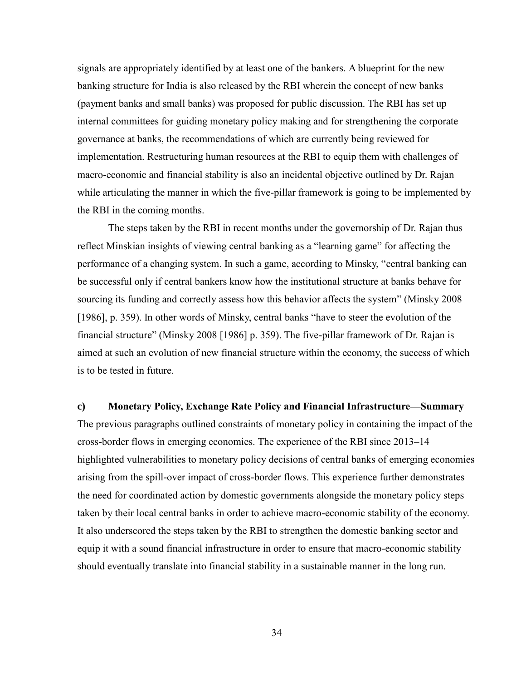signals are appropriately identified by at least one of the bankers. A blueprint for the new banking structure for India is also released by the RBI wherein the concept of new banks (payment banks and small banks) was proposed for public discussion. The RBI has set up internal committees for guiding monetary policy making and for strengthening the corporate governance at banks, the recommendations of which are currently being reviewed for implementation. Restructuring human resources at the RBI to equip them with challenges of macro-economic and financial stability is also an incidental objective outlined by Dr. Rajan while articulating the manner in which the five-pillar framework is going to be implemented by the RBI in the coming months.

The steps taken by the RBI in recent months under the governorship of Dr. Rajan thus reflect Minskian insights of viewing central banking as a "learning game" for affecting the performance of a changing system. In such a game, according to Minsky, "central banking can be successful only if central bankers know how the institutional structure at banks behave for sourcing its funding and correctly assess how this behavior affects the system" (Minsky 2008 [1986], p. 359). In other words of Minsky, central banks "have to steer the evolution of the financial structure" (Minsky 2008 [1986] p. 359). The five-pillar framework of Dr. Rajan is aimed at such an evolution of new financial structure within the economy, the success of which is to be tested in future.

### **c) Monetary Policy, Exchange Rate Policy and Financial Infrastructure—Summary**

The previous paragraphs outlined constraints of monetary policy in containing the impact of the cross-border flows in emerging economies. The experience of the RBI since 2013–14 highlighted vulnerabilities to monetary policy decisions of central banks of emerging economies arising from the spill-over impact of cross-border flows. This experience further demonstrates the need for coordinated action by domestic governments alongside the monetary policy steps taken by their local central banks in order to achieve macro-economic stability of the economy. It also underscored the steps taken by the RBI to strengthen the domestic banking sector and equip it with a sound financial infrastructure in order to ensure that macro-economic stability should eventually translate into financial stability in a sustainable manner in the long run.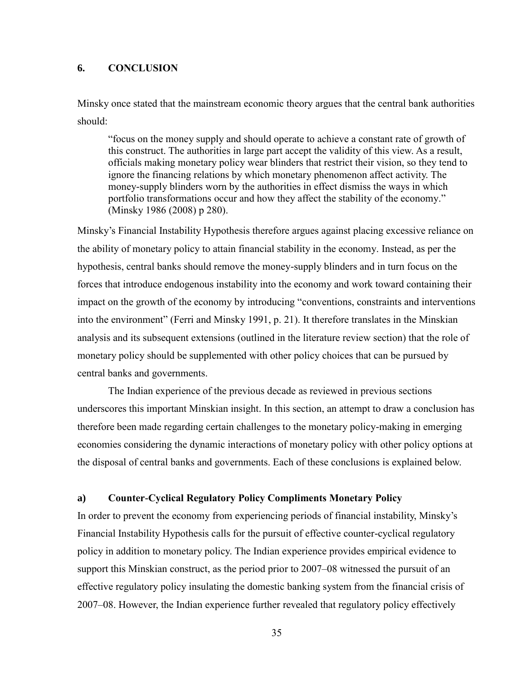## **6. CONCLUSION**

Minsky once stated that the mainstream economic theory argues that the central bank authorities should:

"focus on the money supply and should operate to achieve a constant rate of growth of this construct. The authorities in large part accept the validity of this view. As a result, officials making monetary policy wear blinders that restrict their vision, so they tend to ignore the financing relations by which monetary phenomenon affect activity. The money-supply blinders worn by the authorities in effect dismiss the ways in which portfolio transformations occur and how they affect the stability of the economy." (Minsky 1986 (2008) p 280).

Minsky's Financial Instability Hypothesis therefore argues against placing excessive reliance on the ability of monetary policy to attain financial stability in the economy. Instead, as per the hypothesis, central banks should remove the money-supply blinders and in turn focus on the forces that introduce endogenous instability into the economy and work toward containing their impact on the growth of the economy by introducing "conventions, constraints and interventions into the environment" (Ferri and Minsky 1991, p. 21). It therefore translates in the Minskian analysis and its subsequent extensions (outlined in the literature review section) that the role of monetary policy should be supplemented with other policy choices that can be pursued by central banks and governments.

The Indian experience of the previous decade as reviewed in previous sections underscores this important Minskian insight. In this section, an attempt to draw a conclusion has therefore been made regarding certain challenges to the monetary policy-making in emerging economies considering the dynamic interactions of monetary policy with other policy options at the disposal of central banks and governments. Each of these conclusions is explained below.

#### **a) Counter-Cyclical Regulatory Policy Compliments Monetary Policy**

In order to prevent the economy from experiencing periods of financial instability, Minsky's Financial Instability Hypothesis calls for the pursuit of effective counter-cyclical regulatory policy in addition to monetary policy. The Indian experience provides empirical evidence to support this Minskian construct, as the period prior to 2007–08 witnessed the pursuit of an effective regulatory policy insulating the domestic banking system from the financial crisis of 2007–08. However, the Indian experience further revealed that regulatory policy effectively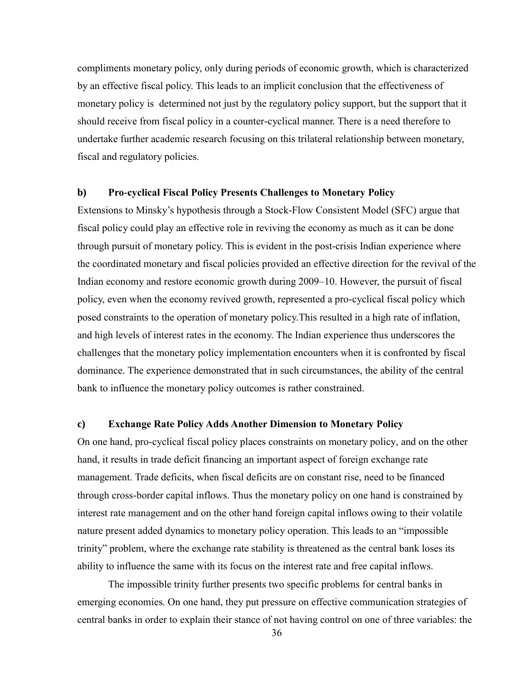compliments monetary policy, only during periods of economic growth, which is characterized by an effective fiscal policy. This leads to an implicit conclusion that the effectiveness of monetary policy is determined not just by the regulatory policy support, but the support that it should receive from fiscal policy in a counter-cyclical manner. There is a need therefore to undertake further academic research focusing on this trilateral relationship between monetary, fiscal and regulatory policies.

#### **b) Pro-cyclical Fiscal Policy Presents Challenges to Monetary Policy**

Extensions to Minsky's hypothesis through a Stock-Flow Consistent Model (SFC) argue that fiscal policy could play an effective role in reviving the economy as much as it can be done through pursuit of monetary policy. This is evident in the post-crisis Indian experience where the coordinated monetary and fiscal policies provided an effective direction for the revival of the Indian economy and restore economic growth during 2009–10. However, the pursuit of fiscal policy, even when the economy revived growth, represented a pro-cyclical fiscal policy which posed constraints to the operation of monetary policy.This resulted in a high rate of inflation, and high levels of interest rates in the economy. The Indian experience thus underscores the challenges that the monetary policy implementation encounters when it is confronted by fiscal dominance. The experience demonstrated that in such circumstances, the ability of the central bank to influence the monetary policy outcomes is rather constrained.

## **c) Exchange Rate Policy Adds Another Dimension to Monetary Policy**

On one hand, pro-cyclical fiscal policy places constraints on monetary policy, and on the other hand, it results in trade deficit financing an important aspect of foreign exchange rate management. Trade deficits, when fiscal deficits are on constant rise, need to be financed through cross-border capital inflows. Thus the monetary policy on one hand is constrained by interest rate management and on the other hand foreign capital inflows owing to their volatile nature present added dynamics to monetary policy operation. This leads to an "impossible trinity" problem, where the exchange rate stability is threatened as the central bank loses its ability to influence the same with its focus on the interest rate and free capital inflows.

The impossible trinity further presents two specific problems for central banks in emerging economies. On one hand, they put pressure on effective communication strategies of central banks in order to explain their stance of not having control on one of three variables: the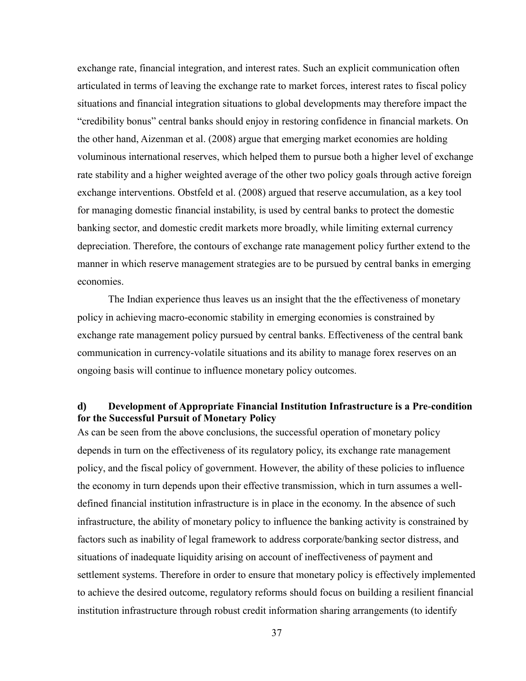exchange rate, financial integration, and interest rates. Such an explicit communication often articulated in terms of leaving the exchange rate to market forces, interest rates to fiscal policy situations and financial integration situations to global developments may therefore impact the "credibility bonus" central banks should enjoy in restoring confidence in financial markets. On the other hand, Aizenman et al. (2008) argue that emerging market economies are holding voluminous international reserves, which helped them to pursue both a higher level of exchange rate stability and a higher weighted average of the other two policy goals through active foreign exchange interventions. Obstfeld et al. (2008) argued that reserve accumulation, as a key tool for managing domestic financial instability, is used by central banks to protect the domestic banking sector, and domestic credit markets more broadly, while limiting external currency depreciation. Therefore, the contours of exchange rate management policy further extend to the manner in which reserve management strategies are to be pursued by central banks in emerging economies.

The Indian experience thus leaves us an insight that the the effectiveness of monetary policy in achieving macro-economic stability in emerging economies is constrained by exchange rate management policy pursued by central banks. Effectiveness of the central bank communication in currency-volatile situations and its ability to manage forex reserves on an ongoing basis will continue to influence monetary policy outcomes.

## **d) Development of Appropriate Financial Institution Infrastructure is a Pre-condition for the Successful Pursuit of Monetary Policy**

As can be seen from the above conclusions, the successful operation of monetary policy depends in turn on the effectiveness of its regulatory policy, its exchange rate management policy, and the fiscal policy of government. However, the ability of these policies to influence the economy in turn depends upon their effective transmission, which in turn assumes a welldefined financial institution infrastructure is in place in the economy. In the absence of such infrastructure, the ability of monetary policy to influence the banking activity is constrained by factors such as inability of legal framework to address corporate/banking sector distress, and situations of inadequate liquidity arising on account of ineffectiveness of payment and settlement systems. Therefore in order to ensure that monetary policy is effectively implemented to achieve the desired outcome, regulatory reforms should focus on building a resilient financial institution infrastructure through robust credit information sharing arrangements (to identify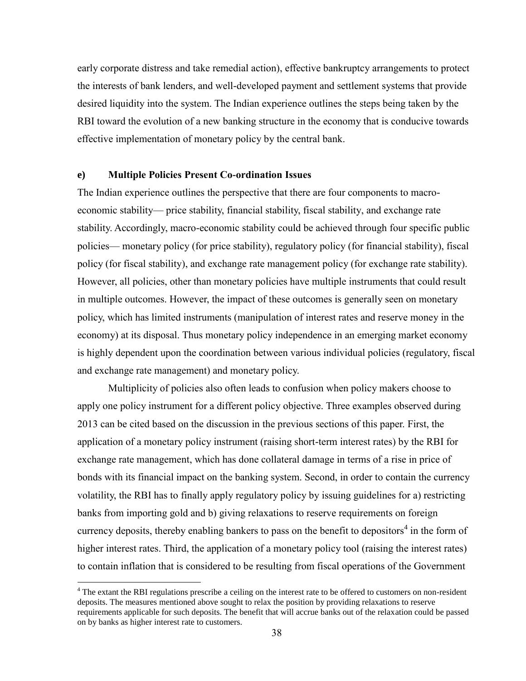early corporate distress and take remedial action), effective bankruptcy arrangements to protect the interests of bank lenders, and well-developed payment and settlement systems that provide desired liquidity into the system. The Indian experience outlines the steps being taken by the RBI toward the evolution of a new banking structure in the economy that is conducive towards effective implementation of monetary policy by the central bank.

#### **e) Multiple Policies Present Co-ordination Issues**

 $\overline{a}$ 

The Indian experience outlines the perspective that there are four components to macroeconomic stability— price stability, financial stability, fiscal stability, and exchange rate stability. Accordingly, macro-economic stability could be achieved through four specific public policies— monetary policy (for price stability), regulatory policy (for financial stability), fiscal policy (for fiscal stability), and exchange rate management policy (for exchange rate stability). However, all policies, other than monetary policies have multiple instruments that could result in multiple outcomes. However, the impact of these outcomes is generally seen on monetary policy, which has limited instruments (manipulation of interest rates and reserve money in the economy) at its disposal. Thus monetary policy independence in an emerging market economy is highly dependent upon the coordination between various individual policies (regulatory, fiscal and exchange rate management) and monetary policy.

Multiplicity of policies also often leads to confusion when policy makers choose to apply one policy instrument for a different policy objective. Three examples observed during 2013 can be cited based on the discussion in the previous sections of this paper. First, the application of a monetary policy instrument (raising short-term interest rates) by the RBI for exchange rate management, which has done collateral damage in terms of a rise in price of bonds with its financial impact on the banking system. Second, in order to contain the currency volatility, the RBI has to finally apply regulatory policy by issuing guidelines for a) restricting banks from importing gold and b) giving relaxations to reserve requirements on foreign currency deposits, thereby enabling bankers to pass on the benefit to depositors<sup>4</sup> in the form of higher interest rates. Third, the application of a monetary policy tool (raising the interest rates) to contain inflation that is considered to be resulting from fiscal operations of the Government

<sup>&</sup>lt;sup>4</sup> The extant the RBI regulations prescribe a ceiling on the interest rate to be offered to customers on non-resident deposits. The measures mentioned above sought to relax the position by providing relaxations to reserve requirements applicable for such deposits. The benefit that will accrue banks out of the relaxation could be passed on by banks as higher interest rate to customers.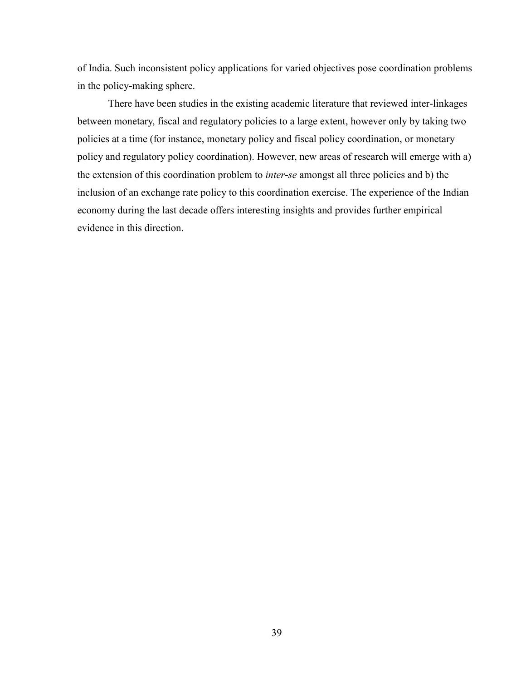of India. Such inconsistent policy applications for varied objectives pose coordination problems in the policy-making sphere.

There have been studies in the existing academic literature that reviewed inter-linkages between monetary, fiscal and regulatory policies to a large extent, however only by taking two policies at a time (for instance, monetary policy and fiscal policy coordination, or monetary policy and regulatory policy coordination). However, new areas of research will emerge with a) the extension of this coordination problem to *inter-se* amongst all three policies and b) the inclusion of an exchange rate policy to this coordination exercise. The experience of the Indian economy during the last decade offers interesting insights and provides further empirical evidence in this direction.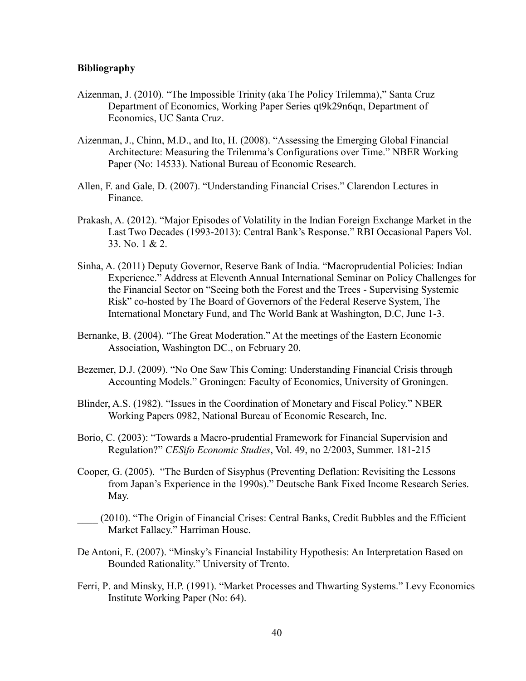## **Bibliography**

- Aizenman, J. (2010). ["The Impossible Trinity \(aka The Policy Trilemma\),](https://ideas.repec.org/p/cdl/ucscec/qt9k29n6qn.html)" [Santa Cruz](https://ideas.repec.org/s/cdl/ucscec.html)  [Department of Economics, Working Paper Series](https://ideas.repec.org/s/cdl/ucscec.html) qt9k29n6qn, Department of Economics, UC Santa Cruz.
- Aizenman, J., Chinn, M.D., and Ito, H. (2008). "Assessing the Emerging Global Financial Architecture: Measuring the Trilemma's Configurations over Time." NBER Working Paper (No: 14533). National Bureau of Economic Research.
- Allen, F. and Gale, D. (2007). "Understanding Financial Crises." Clarendon Lectures in Finance.
- Prakash, A. (2012). "Major Episodes of Volatility in the Indian Foreign Exchange Market in the Last Two Decades (1993-2013): Central Bank's Response." RBI Occasional Papers Vol. 33. No. 1 & 2.
- Sinha, A. (2011) Deputy Governor, Reserve Bank of India. "Macroprudential Policies: Indian Experience." Address at Eleventh Annual International Seminar on Policy Challenges for the Financial Sector on "Seeing both the Forest and the Trees - Supervising Systemic Risk" co-hosted by The Board of Governors of the Federal Reserve System, The International Monetary Fund, and The World Bank at Washington, D.C, June 1-3.
- Bernanke, B. (2004). "The Great Moderation." At the meetings of the Eastern Economic Association, Washington DC., on February 20.
- Bezemer, D.J. (2009). "No One Saw This Coming: Understanding Financial Crisis through Accounting Models." Groningen: Faculty of Economics, University of Groningen.
- Blinder, A.S. (1982). ["Issues in the Coordination of Monetary and Fiscal Policy.](https://ideas.repec.org/p/nbr/nberwo/0982.html)" [NBER](https://ideas.repec.org/s/nbr/nberwo.html)  [Working Papers](https://ideas.repec.org/s/nbr/nberwo.html) 0982, National Bureau of Economic Research, Inc.
- Borio, C. (2003): "Towards a Macro-prudential Framework for Financial Supervision and Regulation?" *CESifo Economic Studies*, Vol. 49, no 2/2003, Summer. 181-215
- Cooper, G. (2005). "The Burden of Sisyphus (Preventing Deflation: Revisiting the Lessons from Japan's Experience in the 1990s)." Deutsche Bank Fixed Income Research Series. May.
- \_\_\_\_ (2010). "The Origin of Financial Crises: Central Banks, Credit Bubbles and the Efficient Market Fallacy." Harriman House.
- De Antoni, E. (2007). "Minsky's Financial Instability Hypothesis: An Interpretation Based on Bounded Rationality." University of Trento.
- Ferri, P. and Minsky, H.P. (1991). "Market Processes and Thwarting Systems." Levy Economics Institute Working Paper (No: 64).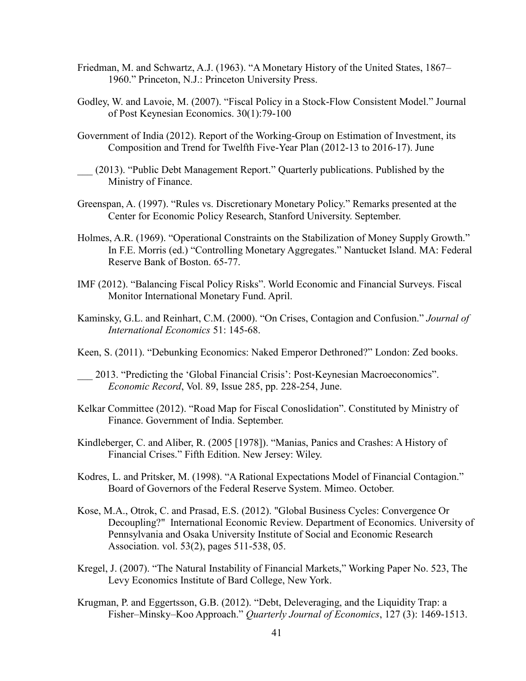- Friedman, M. and Schwartz, A.J. (1963). "A Monetary History of the United States, 1867– 1960." Princeton, N.J.: Princeton University Press.
- Godley, W. and Lavoie, M. (2007). "Fiscal Policy in a Stock-Flow Consistent Model." Journal of Post Keynesian Economics. 30(1):79-100
- Government of India (2012). Report of the Working-Group on Estimation of Investment, its Composition and Trend for Twelfth Five-Year Plan (2012-13 to 2016-17). June
- \_\_\_ (2013). "Public Debt Management Report." Quarterly publications. Published by the Ministry of Finance.
- Greenspan, A. (1997). "Rules vs. Discretionary Monetary Policy." Remarks presented at the Center for Economic Policy Research, Stanford University. September.
- Holmes, A.R. (1969). "Operational Constraints on the Stabilization of Money Supply Growth." In F.E. Morris (ed.) "Controlling Monetary Aggregates." Nantucket Island. MA: Federal Reserve Bank of Boston. 65-77.
- IMF (2012). "Balancing Fiscal Policy Risks". World Economic and Financial Surveys. Fiscal Monitor International Monetary Fund. April.
- Kaminsky, G.L. and Reinhart, C.M. (2000). "On Crises, Contagion and Confusion." *Journal of International Economics* 51: 145-68.
- Keen, S. (2011). "Debunking Economics: Naked Emperor Dethroned?" London: Zed books.
- \_\_\_ 2013. "Predicting the 'Global Financial Crisis': Post‐Keynesian Macroeconomics". *Economic Record*, Vol. 89, Issue 285, pp. 228-254, June.
- Kelkar Committee (2012). "Road Map for Fiscal Conoslidation". Constituted by Ministry of Finance. Government of India. September.
- Kindleberger, C. and Aliber, R. (2005 [1978]). "Manias, Panics and Crashes: A History of Financial Crises." Fifth Edition. New Jersey: Wiley.
- Kodres, L. and Pritsker, M. (1998). "A Rational Expectations Model of Financial Contagion." Board of Governors of the Federal Reserve System. Mimeo. October.
- Kose, M.A., Otrok, C. and Prasad, E.S. (2012). ["Global Business Cycles: Convergence Or](http://ideas.repec.org/a/wly/iecrev/v53y2012i2p511-538.html)  [Decoupling?"](http://ideas.repec.org/a/wly/iecrev/v53y2012i2p511-538.html) [International Economic Review. Department of Economics. University of](http://ideas.repec.org/s/wly/iecrev.html)  [Pennsylvania and Osaka University Institute of Social and Economic Research](http://ideas.repec.org/s/wly/iecrev.html)  [Association.](http://ideas.repec.org/s/wly/iecrev.html) vol. 53(2), pages 511-538, 05.
- Kregel, J. (2007). "The Natural Instability of Financial Markets," Working Paper No. 523, The Levy Economics Institute of Bard College, New York.
- Krugman, P. and Eggertsson, G.B. (2012). "Debt, Deleveraging, and the Liquidity Trap: a Fisher–Minsky–Koo Approach." *Quarterly Journal of Economics*, 127 (3): 1469-1513.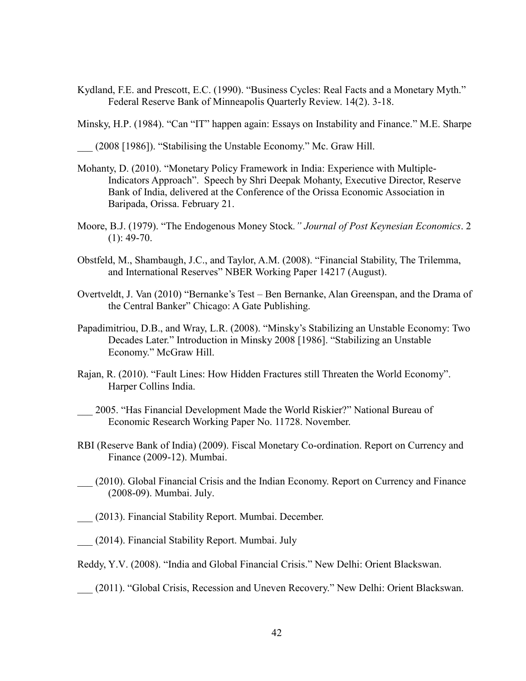Kydland, F.E. and Prescott, E.C. (1990). "Business Cycles: Real Facts and a Monetary Myth." Federal Reserve Bank of Minneapolis Quarterly Review. 14(2). 3-18.

Minsky, H.P. (1984). "Can "IT" happen again: Essays on Instability and Finance." M.E. Sharpe

\_\_\_ (2008 [1986]). "Stabilising the Unstable Economy." Mc. Graw Hill.

- Mohanty, D. (2010). "Monetary Policy Framework in India: Experience with Multiple-Indicators Approach". Speech by Shri Deepak Mohanty, Executive Director, Reserve Bank of India, delivered at the Conference of the Orissa Economic Association in Baripada, Orissa. February 21.
- Moore, B.J. (1979). "The Endogenous Money Stock*." Journal of Post Keynesian Economics*. 2  $(1)$ : 49-70.
- Obstfeld, M., Shambaugh, J.C., and Taylor, A.M. (2008). "Financial Stability, The Trilemma, and International Reserves" NBER Working Paper 14217 (August).
- Overtveldt, J. Van (2010) "Bernanke's Test Ben Bernanke, Alan Greenspan, and the Drama of the Central Banker" Chicago: A Gate Publishing.
- Papadimitriou, D.B., and Wray, L.R. (2008). "Minsky's Stabilizing an Unstable Economy: Two Decades Later." Introduction in Minsky 2008 [1986]. "Stabilizing an Unstable Economy." McGraw Hill.
- Rajan, R. (2010). "Fault Lines: How Hidden Fractures still Threaten the World Economy". Harper Collins India.
- \_\_\_ 2005. "Has Financial Development Made the World Riskier?" National Bureau of Economic Research Working Paper No. 11728. November.
- RBI (Reserve Bank of India) (2009). Fiscal Monetary Co-ordination. Report on Currency and Finance (2009-12). Mumbai.
- \_\_\_ (2010). Global Financial Crisis and the Indian Economy. Report on Currency and Finance (2008-09). Mumbai. July.
- \_\_\_ (2013). Financial Stability Report. Mumbai. December.
- \_\_\_ (2014). Financial Stability Report. Mumbai. July
- Reddy, Y.V. (2008). "India and Global Financial Crisis." New Delhi: Orient Blackswan.
- \_\_\_ (2011). "Global Crisis, Recession and Uneven Recovery." New Delhi: Orient Blackswan.